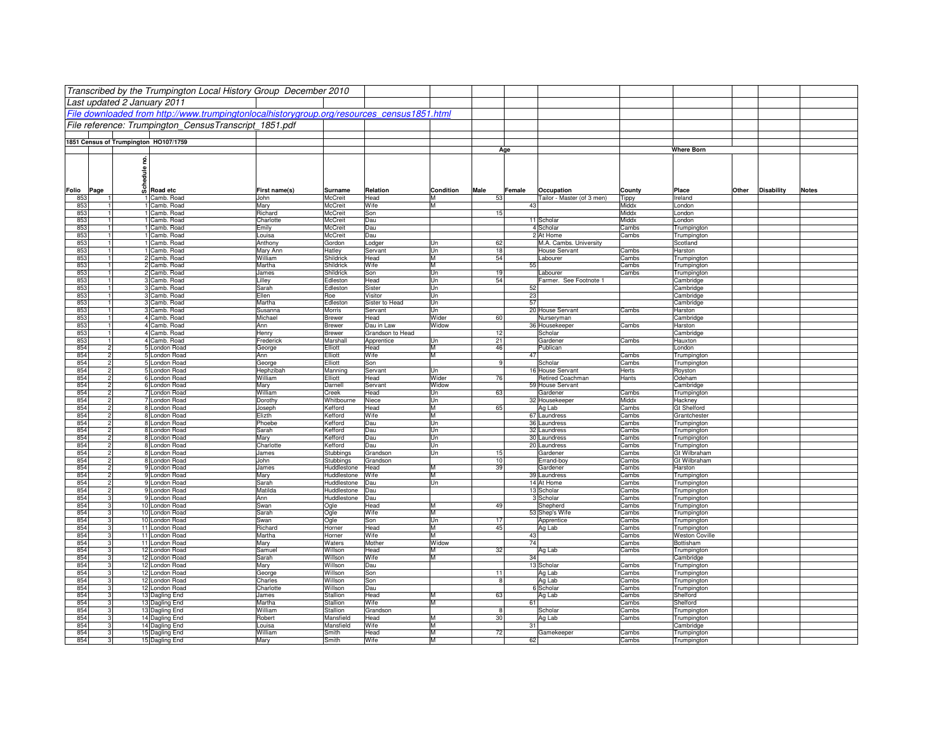|            |                                  | Transcribed by the Trumpington Local History Group December 2010                           |                     |                            |                     |                   |          |                                         |                |                                      |                   |              |
|------------|----------------------------------|--------------------------------------------------------------------------------------------|---------------------|----------------------------|---------------------|-------------------|----------|-----------------------------------------|----------------|--------------------------------------|-------------------|--------------|
|            |                                  | Last updated 2 January 2011                                                                |                     |                            |                     |                   |          |                                         |                |                                      |                   |              |
|            |                                  | File downloaded from http://www.trumpingtonlocalhistorygroup.org/resources_census1851.html |                     |                            |                     |                   |          |                                         |                |                                      |                   |              |
|            |                                  | File reference: Trumpington CensusTranscript 1851.pdf                                      |                     |                            |                     |                   |          |                                         |                |                                      |                   |              |
|            |                                  |                                                                                            |                     |                            |                     |                   |          |                                         |                |                                      |                   |              |
|            |                                  | 1851 Census of Trumpington HO107/1759                                                      |                     |                            |                     |                   | Age      |                                         |                | <b>Where Born</b>                    |                   |              |
|            |                                  | g                                                                                          |                     |                            |                     |                   |          |                                         |                |                                      |                   |              |
|            |                                  |                                                                                            |                     |                            |                     |                   |          |                                         |                |                                      |                   |              |
|            |                                  | <b>Schedule</b>                                                                            |                     |                            |                     |                   |          |                                         |                |                                      |                   |              |
| Folio      | Page                             | Road etc                                                                                   | First name(s)       | Surname                    | Relation            | Condition<br>Male | Female   | Occupation                              | County         | Place<br>Other                       | <b>Disability</b> | <b>Notes</b> |
| 853        |                                  | 1 Camb. Road                                                                               | John                | McCreit                    | Head                | м                 | 53       | Tailor - Master (of 3 men)              | Tippy          | Ireland                              |                   |              |
| 853<br>853 | $\overline{1}$<br>$\overline{1}$ | 1 Camb. Road<br>1 Camb. Road                                                               | Mary<br>Richard     | McCreit<br>McCreit         | Wife<br>Son         | M                 | 43<br>15 |                                         | Middx<br>Middx | London<br>London                     |                   |              |
| 853        | $\overline{1}$                   | 1 Camb. Road                                                                               | Charlotte           | McCreit                    | Dau                 |                   |          | 11 Scholar                              | Middx          | London                               |                   |              |
| 853        | $\overline{1}$                   | 1 Camb. Road                                                                               | Emily               | McCreit                    | Dau                 |                   |          | 4 Scholar                               | Cambs          | Trumpington                          |                   |              |
| 853        | $\overline{1}$                   | 1 Camb. Road                                                                               | Louisa              | McCreit                    | Dau                 |                   |          | 2 At Home                               | Cambs          | Trumpington                          |                   |              |
| 853<br>853 | -11<br>$\overline{1}$            | 1 Camb. Road<br>1 Camb. Road                                                               | Anthony<br>Mary Ann | Gordon<br>Hatley           | Lodger<br>Servant   | Un<br>Un          | 62<br>18 | M.A. Cambs. University<br>House Servant | Cambs          | Scotland<br>Harston                  |                   |              |
| 853        | $\overline{1}$                   | 2 Camb. Road                                                                               | William             | Shildrick                  | Head                | M                 | 54       | Labourer                                | Cambs          | Trumpington                          |                   |              |
| 853        | $\overline{1}$                   | 2 Camb. Road                                                                               | Martha              | Shildrick                  | Wife                | M                 | 55       |                                         | Cambs          | Trumpington                          |                   |              |
| 853        | $\overline{1}$                   | 2 Camb. Road                                                                               | James               | Shildrick                  | Son                 | Un                | 19       | Labourer                                | Cambs          | Trumpington                          |                   |              |
| 853<br>853 | 11<br>$\overline{1}$             | 3 Camb. Road<br>3 Camb. Road                                                               | Lilley<br>Sarah     | Edleston<br>Edleston       | Head<br>Sister      | Un<br>Un          | 54<br>52 | Farmer. See Footnote 1                  |                | Cambridge<br>Cambridge               |                   |              |
| 853        | -11                              | 3 Camb. Road                                                                               | Ellen               | Roe                        | Visitor             | Un                | 23       |                                         |                | Cambridge                            |                   |              |
| 853        | $\mathbf{1}$                     | 3 Camb. Road                                                                               | Martha              | Edleston                   | Sister to Head      | Un                | 57       |                                         |                | Cambridge                            |                   |              |
| 853        | 11                               | 3 Camb. Road                                                                               | Susanna             | <b>Morris</b>              | Servant             | Un                |          | 20 House Servant                        | Cambs          | Harston                              |                   |              |
| 853<br>853 | 1                                | 4 Camb. Road<br>4 Camb. Road                                                               | Michael<br>Ann      | <b>Brewer</b><br>Brewer    | Head<br>Dau in Law  | Wider<br>Widow    | 60       | Nurseryman<br>36 Housekeeper            | Cambs          | Cambridge<br>Harston                 |                   |              |
| 853        |                                  | 4 Camb. Road                                                                               | Henry               | <b>Brewer</b>              | Grandson to Head    |                   | 12       | Scholar                                 |                | Cambridge                            |                   |              |
| 853        | -11                              | 4 Camb. Road                                                                               | Frederick           | Marshall                   | Apprentice          | Un                | 21       | Gardener                                | Cambs          | Hauxton                              |                   |              |
| 854<br>854 | $\overline{2}$                   | 5 London Road                                                                              | George              | Elliott                    | Head                | М                 | 46<br>47 | Publican                                |                | London                               |                   |              |
| 854        | $\overline{2}$<br>$\overline{2}$ | 5 London Road<br>5 London Road                                                             | Ann<br>George       | Elliott<br>Elliott         | Wife<br>Son         | М                 | 9        | Scholar                                 | Cambs<br>Cambs | Trumpington<br>Trumpington           |                   |              |
| 854        | $\overline{2}$                   | 5 London Road                                                                              | Hephzibah           | Manning                    | Servant             | Un                |          | 16 House Servant                        | Herts          | Royston                              |                   |              |
| 854        | $\overline{2}$                   | 6 London Road                                                                              | William             | Elliott                    | Head                | Wider             | 76       | Retired Coachman                        | Hants          | Odeham                               |                   |              |
| 854<br>854 | $\overline{2}$<br>$\overline{2}$ | 6 London Road<br>7 London Road                                                             | Mary<br>William     | Darnell<br>Creek           | Servant<br>Head     | Widow             | 63       | 59 House Servant<br>Gardener            | Cambs          | Cambridge                            |                   |              |
| 854        | $\overline{2}$                   | 7 London Road                                                                              | Dorothy             | Whitbourne                 | Niece               | Un<br>Un          |          | 32 Housekeeper                          | Middx          | Trumpington<br>Hackney               |                   |              |
| 854        | $\overline{2}$                   | 8 London Road                                                                              | Joseph              | Kefford                    | Head                | м                 | 65       | Ag Lab                                  | Cambs          | <b>Gt Shelford</b>                   |                   |              |
| 854        | $\overline{2}$                   | 8 London Road                                                                              | Elizth              | Kefford                    | Wife                | M                 |          | 67 Laundress                            | Cambs          | Grantchester                         |                   |              |
| 854<br>854 | $\overline{2}$<br>$\overline{2}$ | 8 London Road<br>8 London Road                                                             | Phoebe<br>Sarah     | Kefford<br>Kefford         | Dau<br>Dau          | Un<br>Un          |          | 36 Laundress<br>32 Laundress            | Cambs<br>Cambs | Trumpington<br>Trumpington           |                   |              |
| 854        | $\overline{2}$                   | 8 London Road                                                                              | Mary                | Kefford                    | Dau                 | Un                |          | 30 Laundress                            | Cambs          | Trumpington                          |                   |              |
| 854        | $\overline{2}$                   | 8 London Road                                                                              | Charlotte           | Kefford                    | Dau                 | Un                |          | 20 Laundress                            | Cambs          | Trumpington                          |                   |              |
| 854        | $\overline{2}$                   | 8 London Road                                                                              | James               | Stubbings                  | Grandson            | Un                | 15       | Gardener                                | Cambs          | Gt Wilbraham                         |                   |              |
| 854<br>854 | $\overline{2}$<br>$\overline{2}$ | 8 London Road<br>9 London Road                                                             | John<br>James       | Stubbings<br>Huddlestone   | Grandson<br>Head    |                   | 10<br>39 | Errand-boy<br>Gardener                  | Cambs<br>Cambs | Gt Wilbraham<br>Harston              |                   |              |
| 854        | $\overline{2}$                   | 9 London Road                                                                              | Mary                | Huddlestone                | Wife                | M                 |          | 39 Laundress                            | Cambs          | Trumpington                          |                   |              |
| 854        | $\overline{2}$                   | 9 London Road                                                                              | Sarah               | Huddlestone                | Dau                 | Un                |          | 14 At Home                              | Cambs          | Trumpington                          |                   |              |
| 854<br>854 | $\overline{2}$<br>3              | 9 London Road<br>9 London Road                                                             | Matilda<br>Ann      | Huddlestone<br>Huddlestone | Dau<br>Dau          |                   |          | 13 Scholar<br>3 Scholar                 | Cambs<br>Cambs | Trumpington                          |                   |              |
| 854        | 3 <sup>l</sup>                   | 10 London Road                                                                             | Swan                | Ogle                       | Head                |                   | 49       | Shepherd                                | Cambs          | Trumpington<br>Trumpington           |                   |              |
| 854        | $\overline{3}$                   | 10 London Road                                                                             | Sarah               | Ogle                       | Wife                | M                 |          | 53 Shep's Wife                          | Cambs          | Trumpington                          |                   |              |
| 854        |                                  | 3 <sup>1</sup><br>10 London Road                                                           | Swan                | Ogle                       | Son                 | Un                | 17       | Apprentice                              | Cambs          | Trumpington                          |                   |              |
| 854<br>854 | 3<br>3                           | 11 London Road<br>11 London Road                                                           | Richard<br>Martha   | Horner<br>Horner           | Head<br>Wife        | М                 | 45<br>43 | Ag Lab                                  | Cambs<br>Cambs | Trumpington<br><b>Weston Coville</b> |                   |              |
| 854        |                                  | 3 <sup>1</sup><br>11 London Road                                                           | Mary                | Waters                     | Mother              | Widow             | 74       |                                         | Cambs          | Bottisham                            |                   |              |
| 854        | 3 <sup>l</sup>                   | 12 London Road                                                                             | Samue               | Willson                    | <b>Head</b>         |                   | 32       | Ag Lab                                  | Cambs          | Trumpington                          |                   |              |
| 854        | 3 <sup>l</sup>                   | 12 London Road                                                                             | Sarah               | Willson                    | Wife                |                   | 34       |                                         |                | Cambridge                            |                   |              |
| 854<br>854 | 3 <sup>1</sup>                   | 3 <sup>1</sup><br>12 London Road<br>12 London Road                                         | Mary<br>George      | Willson<br>Willson         | Dau<br>Son          |                   | 11       | 13 Scholar<br>Ag Lab                    | Cambs<br>Cambs | Trumpington<br>Trumpington           |                   |              |
| 854        |                                  | 3 <sup>1</sup><br>12 London Road                                                           | Charles             | Willson                    | Son                 |                   | 8        | Ag Lab                                  | Cambs          | <b>Trumpington</b>                   |                   |              |
| 854        | 3 <sup>l</sup>                   | 12 London Road                                                                             | Charlotte           | Willson                    | Dau                 |                   |          | 6 Scholar                               | Cambs          | Trumpington                          |                   |              |
| 854<br>854 | $\overline{3}$                   | 13 Dagling End                                                                             | James<br>Martha     | Stallion<br>Stallion       | Head<br>Wife        | м                 | 63<br>61 | Ag Lab                                  | Cambs<br>Cambs | Shelford<br>Shelford                 |                   |              |
| 854        | 3 <sup>1</sup>                   | 13 Dagling End<br>3 <sup>1</sup><br>13 Dagling End                                         | William             | Stallion                   | Grandson            |                   | 8        | Scholar                                 | Cambs          | Trumpington                          |                   |              |
| 854        | $\overline{3}$                   | 14 Dagling End                                                                             | Robert              | Mansfield                  | <b>Head</b>         | M                 | 30       | Ag Lab                                  | Cambs          | Trumpington                          |                   |              |
| 854        | $\overline{3}$                   | 14 Dagling End                                                                             | Louisa              | Mansfield                  | Wife                | М                 | 31       |                                         |                | Cambridge                            |                   |              |
| 854<br>854 | $\overline{3}$<br>$\mathbf{3}$   | 15 Dagling End<br>15 Dagling End                                                           | William<br>Marv     | Smith<br>Smith             | <b>Head</b><br>Wife | M                 | 72<br>62 | Gamekeeper                              | Cambs<br>Cambs | Trumpington<br>Trumpington           |                   |              |
|            |                                  |                                                                                            |                     |                            |                     |                   |          |                                         |                |                                      |                   |              |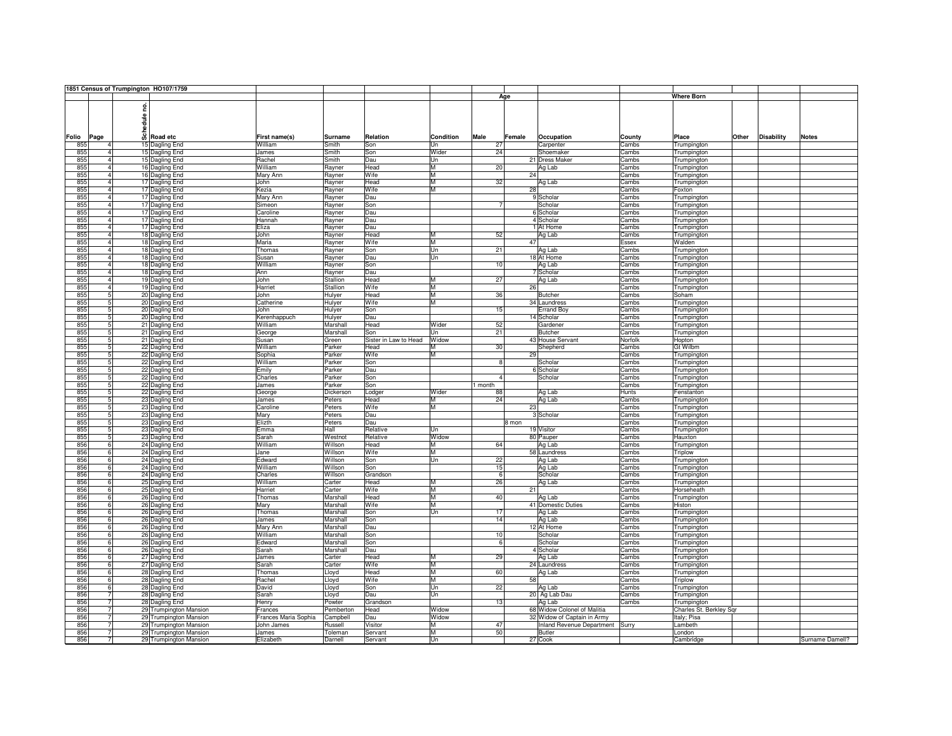|     |                | 1851 Census of Trumpington HO107/1759 |                        |                      |                |                       |           |              |        |                                 |         |                         |       |                   |                 |
|-----|----------------|---------------------------------------|------------------------|----------------------|----------------|-----------------------|-----------|--------------|--------|---------------------------------|---------|-------------------------|-------|-------------------|-----------------|
|     |                |                                       |                        |                      |                |                       |           |              | Age    |                                 |         | <b>Where Born</b>       |       |                   |                 |
|     |                |                                       |                        |                      |                |                       |           |              |        |                                 |         |                         |       |                   |                 |
|     |                | ဠ                                     |                        |                      |                |                       |           |              |        |                                 |         |                         |       |                   |                 |
|     |                |                                       |                        |                      |                |                       |           |              |        |                                 |         |                         |       |                   |                 |
|     |                | edule                                 |                        |                      |                |                       |           |              |        |                                 |         |                         |       |                   |                 |
|     |                |                                       |                        |                      |                |                       |           |              |        |                                 |         |                         |       |                   |                 |
|     | Folio Page     | ន្លឹ                                  | Road etc               | First name(s)        | <b>Surname</b> | Relation              | Condition | Male         | Female | Occupation                      | County  | Place                   | Other | <b>Disability</b> | <b>Notes</b>    |
| 855 |                |                                       | 15 Dagling End         | William              | Smith          | Son                   | Un        | 27           |        | Carpenter                       | Cambs   | Trumpington             |       |                   |                 |
| 855 | $\mathbf{A}$   |                                       | 15 Dagling End         | James                | Smith          | Son                   | Wider     | 24           |        | Shoemaker                       | Cambs   | Trumpington             |       |                   |                 |
| 855 |                |                                       | 15 Dagling End         | Rachel               | Smith          | Dau                   | Un        |              |        | 21 Dress Maker                  | Cambs   | Trumpington             |       |                   |                 |
| 855 | $\overline{a}$ |                                       | 16 Dagling End         | William              | Rayner         | Head                  | M         | 20           |        | Ag Lab                          | Cambs   | Trumpington             |       |                   |                 |
| 855 |                |                                       | 16 Dagling End         | Mary Ann             | Rayner         | Wife                  | M         |              | 24     |                                 | Cambs   | Trumpington             |       |                   |                 |
| 855 |                |                                       | 17 Dagling End         | John                 | Rayner         | Head                  | м         | 32           |        | Ag Lab                          | Cambs   | Trumpington             |       |                   |                 |
| 855 | $\overline{a}$ |                                       | 17 Dagling End         | Kezia                | Rayner         | Wife                  | M         |              | 28     |                                 | Cambs   | Foxton                  |       |                   |                 |
| 855 |                |                                       | 17 Dagling End         | Mary Ann             | Rayner         | Dau                   |           |              |        | 9 Scholar                       | Cambs   | Trumpington             |       |                   |                 |
| 855 |                |                                       |                        | Simeon               |                | Son                   |           |              |        | Scholar                         | Cambs   |                         |       |                   |                 |
| 855 |                |                                       | 17 Dagling End         |                      | Rayner         |                       |           |              |        | 6 Scholar                       |         | Trumpington             |       |                   |                 |
|     |                |                                       | 17 Dagling End         | Caroline             | Rayner         | Dau                   |           |              |        |                                 | Cambs   | Trumpington             |       |                   |                 |
| 855 |                |                                       | 17 Dagling End         | Hannah               | Rayner         | Dau                   |           |              |        | 4 Scholar                       | Cambs   | Trumpington             |       |                   |                 |
| 855 |                |                                       | 17 Dagling End         | Eliza                | Rayner         | Dau                   |           |              |        | 1 At Home                       | Cambs   | Trumpington             |       |                   |                 |
| 855 | $\overline{a}$ |                                       | 18 Dagling End         | John                 | Rayner         | Head                  | M         | 52           |        | Ag Lab                          | Cambs   | Trumpington             |       |                   |                 |
| 855 |                |                                       | 18 Dagling End         | Maria                | Rayner         | Wife                  | M         |              | 47     |                                 | Essex   | Walden                  |       |                   |                 |
| 855 |                |                                       | 18 Dagling End         | Thomas               | Rayner         | Son                   | Un        | 21           |        | Ag Lab                          | Cambs   | Trumpington             |       |                   |                 |
| 855 |                |                                       | 18 Dagling End         | Susan                | Rayner         | Dau                   | Un        |              |        | 18 At Home                      | Cambs   | Trumpington             |       |                   |                 |
| 855 |                |                                       | 18 Dagling End         | William              | Rayner         | Son                   |           | 10           |        | Ag Lab                          | Cambs   | Trumpington             |       |                   |                 |
| 855 |                |                                       | 18 Dagling End         | Ann                  | Rayner         | Dau                   |           |              |        | 7 Scholar                       | Cambs   | Trumpington             |       |                   |                 |
| 855 |                |                                       | 19 Dagling End         | John                 | Stallion       | Head                  | М         | 27           |        | Ag Lab                          | Cambs   | Trumpington             |       |                   |                 |
| 855 |                |                                       | 19 Dagling End         | Harriet              | Stallion       | Wife                  | M         |              | 26     |                                 | Cambs   | Trumpington             |       |                   |                 |
| 855 | 5              |                                       | 20 Dagling End         | John                 | Hulyer         | Head                  | M         | 36           |        | Butcher                         | Cambs   | Soham                   |       |                   |                 |
| 855 | 5              |                                       | 20 Dagling End         | Catherine            | Hulyer         | Wife                  | M         |              |        | 34 Laundress                    | Cambs   | Trumpington             |       |                   |                 |
| 855 | 5              |                                       | 20 Dagling End         | John                 | Hulyer         | Son                   |           | 15           |        | <b>Errand Boy</b>               | Cambs   | Trumpington             |       |                   |                 |
| 855 | 5              |                                       | 20 Dagling End         | Kerenhappuch         | Hulyer         | Dau                   |           |              |        | 14 Scholar                      | Cambs   | Trumpington             |       |                   |                 |
| 855 | 5              |                                       | 21 Dagling End         | William              | Marshal        | Head                  | Wider     | 52           |        | Gardener                        | Cambs   | Trumpington             |       |                   |                 |
| 855 | 5              |                                       | 21 Dagling End         | George               | Marshal        | Son                   | Un        | 21           |        | <b>Butcher</b>                  | Cambs   | Trumpington             |       |                   |                 |
| 855 | 5              |                                       | 21 Dagling End         | Susan                | Green          | Sister in Law to Head | Widow     |              |        | 43 House Servant                | Norfolk | Hopton                  |       |                   |                 |
| 855 | 5              |                                       | 22 Dagling End         | William              | Parker         | Head                  | М         | 30           |        | Shepherd                        | Cambs   | <b>Gt Wilbm</b>         |       |                   |                 |
| 855 | 5              |                                       | 22 Dagling End         | Sophia               | Parker         | Wife                  | м         |              | 29     |                                 | Cambs   | Trumpington             |       |                   |                 |
| 855 | 5              |                                       | 22 Dagling End         | William              | Parker         | Son                   |           | $\mathbf{R}$ |        | Scholar                         | Cambs   | Trumpington             |       |                   |                 |
| 855 | 5              |                                       | 22 Dagling End         | Emily                | Parker         | Dau                   |           |              |        | 6 Scholar                       | Cambs   | Trumpington             |       |                   |                 |
| 855 |                |                                       | 22 Dagling End         | Charles              | Parker         | Son                   |           |              |        | Scholar                         | Cambs   | Trumpington             |       |                   |                 |
| 855 | 5              |                                       | 22 Dagling End         | James                | Parker         | Son                   |           | 1 month      |        |                                 | Cambs   | Trumpington             |       |                   |                 |
| 855 | 5              |                                       | 22 Dagling End         |                      | Dickerson      | Lodger                | Wider     | 88           |        | Ag Lab                          | Hunts   | Fenstanton              |       |                   |                 |
| 855 |                |                                       | 23 Dagling End         | George<br>James      | Peters         | Head                  | М         | 24           |        | Ag Lab                          | Cambs   | Trumpington             |       |                   |                 |
| 855 | 5              |                                       | 23 Dagling End         | Caroline             | Peters         | Wife                  | M         |              | 23     |                                 | Cambs   | Trumpington             |       |                   |                 |
| 855 | 5              |                                       | 23 Dagling End         | Marv                 | Peters         | Dau                   |           |              |        | 3 Scholar                       | Cambs   |                         |       |                   |                 |
| 855 | 5              |                                       | 23 Dagling End         | Elizth               | Peters         | Dau                   |           |              | 8 mon  |                                 | Cambs   | Trumpington             |       |                   |                 |
| 855 | 5              |                                       |                        |                      | Hall           |                       | Un        |              |        |                                 |         | Trumpington             |       |                   |                 |
| 855 |                |                                       | 23 Dagling End         | Emma                 |                | Relative              | Widow     |              |        | 19 Visitor<br>80 Pauper         | Cambs   | Trumpington             |       |                   |                 |
|     | $\mathbf{6}$   |                                       | 23 Dagling End         | Sarah                | Westnot        | Relative              |           |              |        |                                 | Cambs   | Hauxton                 |       |                   |                 |
| 856 |                |                                       | 24 Dagling End         | William              | Willson        | Head                  | м         | 64           |        | Ag Lab                          | Cambs   | Trumpington             |       |                   |                 |
| 856 | 6              |                                       | 24 Dagling End         | Jane                 | Willson        | Wife                  | М         |              |        | 58 Laundress                    | Cambs   | Triplow                 |       |                   |                 |
| 856 | ĥ              |                                       | 24 Dagling End         | Edward               | Willson        | Son                   | Un        | 22           |        | Ag Lab                          | Cambs   | Trumpington             |       |                   |                 |
| 856 | $\overline{6}$ |                                       | 24 Dagling End         | William              | Willson        | Son                   |           | 15           |        | Ag Lab                          | Cambs   | Trumpington             |       |                   |                 |
| 856 | ĥ              |                                       | 24 Dagling End         | Charles              | Willson        | Grandson              |           | 6            |        | Scholar                         | Cambs   | Trumpington             |       |                   |                 |
| 856 | ĥ              |                                       | 25 Dagling End         | William              | Carter         | Head                  | М         | 26           |        | Ag Lab                          | Cambs   | Trumpington             |       |                   |                 |
| 856 | $\overline{6}$ |                                       | 25 Dagling End         | Harriet              | Carter         | Wife                  | M         |              | 21     |                                 | Cambs   | Horseheath              |       |                   |                 |
| 856 | $\kappa$       |                                       | 26 Dagling End         | Thomas               | Marshall       | Head                  | M         | 40           |        | Ag Lab                          | Cambs   | Trumpington             |       |                   |                 |
| 856 | ĥ              |                                       | 26 Dagling End         | Mary                 | Marshall       | Wife                  | М         |              |        | 41 Domestic Duties              | Cambs   | Histon                  |       |                   |                 |
| 856 | $\overline{6}$ |                                       | 26 Dagling End         | Thomas               | Marshal        | Son                   | Un        | 17           |        | Ag Lab                          | Cambs   | Trumpington             |       |                   |                 |
| 856 | $\mathbf{6}$   |                                       | 26 Dagling End         | James                | Marshall       | Son                   |           | 14           |        | Ag Lab                          | Cambs   | Trumpington             |       |                   |                 |
| 856 | 6              |                                       | 26 Dagling End         | Mary Ann             | Marshall       | Dau                   |           |              |        | 12 At Home                      | Cambs   | Trumpington             |       |                   |                 |
| 856 | $\overline{6}$ |                                       | 26 Dagling End         | William              | Marshal        | Son                   |           | 10           |        | Scholar                         | Cambs   | Trumpington             |       |                   |                 |
| 856 | ĥ              |                                       | 26 Dagling End         | Edward               | Marshall       | Son                   |           | 6            |        | Scholar                         | Cambs   | Trumpington             |       |                   |                 |
| 856 | ĥ              |                                       | 26 Dagling End         | Sarah                | Marshall       | Dau                   |           |              |        | 4 Scholar                       | Cambs   | Trumpington             |       |                   |                 |
| 856 | ĥ              |                                       | 27 Dagling End         | James                | Carter         | Head                  | M         | 29           |        | Ag Lab                          | Cambs   | Trumpington             |       |                   |                 |
| 856 | ĥ              |                                       | 27 Dagling End         | Sarah                | Carter         | Wife                  | M         |              |        | 24 Laundress                    | Cambs   | Trumpington             |       |                   |                 |
| 856 | 6              |                                       | 28 Dagling End         | Thomas               | Lloyd          | Head                  | M         | 60           |        | Ag Lab                          | Cambs   | Trumpington             |       |                   |                 |
| 856 | ĥ              |                                       | 28 Dagling End         | Rachel               | Lloyd          | Wife                  | м         |              | 58     |                                 | Cambs   | Triplow                 |       |                   |                 |
| 856 | ĥ              |                                       | 28 Dagling End         | David                | Lloyd          | Son                   | Un        | 22           |        | Ag Lab                          | Cambs   | Trumpington             |       |                   |                 |
| 856 | $\overline{7}$ |                                       | 28 Dagling End         | Sarah                | Lloyd          | Dau                   | Un        |              |        | 20 Ag Lab Dau                   | Cambs   | Trumpington             |       |                   |                 |
| 856 |                |                                       | 28 Dagling End         | Henry                | Powter         | Grandson              |           | 13           |        | Ag Lab                          | Cambs   | Trumpington             |       |                   |                 |
| 856 |                |                                       | 29 Trumpington Mansion | Frances              | Pemberton      | Head                  | Widow     |              |        | 68 Widow Colonel of Malitia     |         | Charles St. Berkley Sqr |       |                   |                 |
| 856 |                |                                       | 29 Trumpington Mansion | Frances Maria Sophia | Campbell       | Dau                   | Widow     |              |        | 32 Widow of Captain in Army     |         | Italy; Pisa             |       |                   |                 |
| 856 |                |                                       | 29 Trumpington Mansion | John James           | Russell        | Visitor               | М         | 47           |        | Inland Revenue Department Surry |         | Lambeth                 |       |                   |                 |
| 856 |                |                                       | 29 Trumpington Mansion | James                | Toleman        | Servant               | М         | 50           |        | <b>Butler</b>                   |         | London                  |       |                   |                 |
| 856 | $\overline{7}$ |                                       | 29 Trumpington Mansion | Elizabeth            | Darnell        | Servant               | Un        |              |        | 27 Cook                         |         | Cambridge               |       |                   | Surname Damell? |
|     |                |                                       |                        |                      |                |                       |           |              |        |                                 |         |                         |       |                   |                 |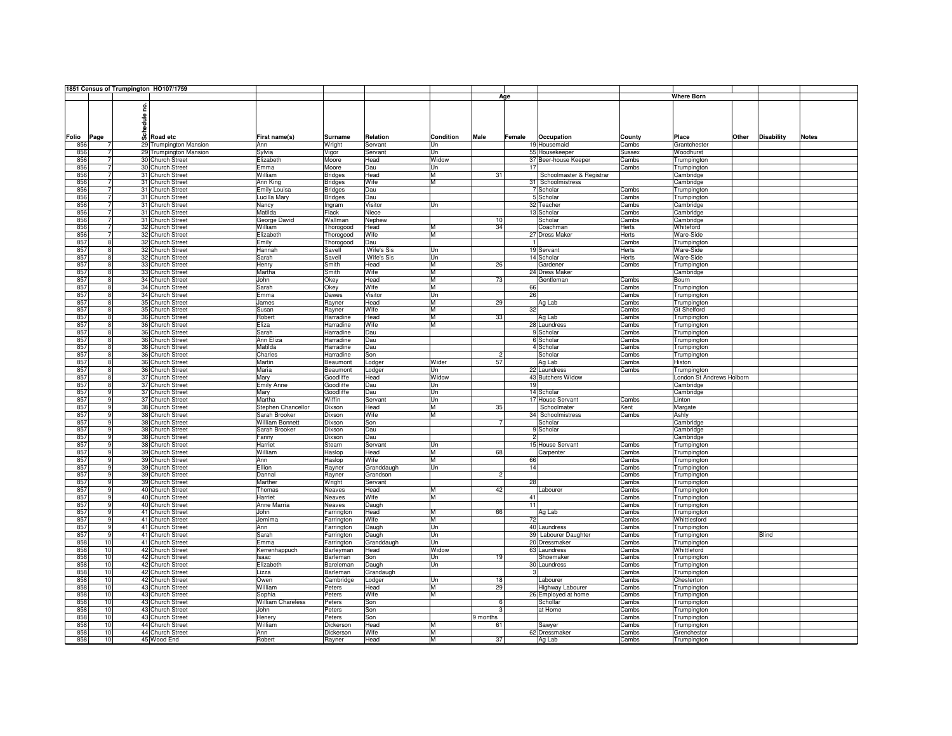|       |                | 1851 Census of Trumpington HO107/1759 |                          |                |                   |           |                |                          |               |                           |       |                   |              |
|-------|----------------|---------------------------------------|--------------------------|----------------|-------------------|-----------|----------------|--------------------------|---------------|---------------------------|-------|-------------------|--------------|
|       |                |                                       |                          |                |                   |           |                | Age                      |               | <b>Where Born</b>         |       |                   |              |
|       |                |                                       |                          |                |                   |           |                |                          |               |                           |       |                   |              |
|       |                | e de leg<br>Scheduletc<br>Moad etc    |                          |                |                   |           |                |                          |               |                           |       |                   |              |
|       |                |                                       |                          |                |                   |           |                |                          |               |                           |       |                   |              |
|       |                |                                       |                          |                |                   |           |                |                          |               |                           |       |                   |              |
|       |                |                                       |                          |                |                   |           |                |                          |               |                           |       |                   |              |
| Folio |                |                                       |                          | <b>Surname</b> | Relation          | Condition | Male           | Female<br>Occupation     | County        | Place                     | Other | <b>Disability</b> | <b>Notes</b> |
|       | Page           |                                       | First name(s)            |                |                   |           |                |                          |               |                           |       |                   |              |
| 856   |                | 29 Trumpington Mansion                | Ann                      | Wright         | Servant           | Un        |                | 19 Housemaid             | Cambs         | Grantchester              |       |                   |              |
| 856   | $\overline{7}$ | 29 Trumpington Mansion                | Sylvia                   | Vigor          | Servant           | Un        |                | 55 Housekeeper           | <b>Sussex</b> | Woodhurst                 |       |                   |              |
| 856   | 71             | 30 Church Street                      | Elizabeth                | Moore          | Head              | Widow     |                | 37 Beer-house Keeper     | Cambs         | Trumpington               |       |                   |              |
| 856   | 71             | 30 Church Street                      | Emma                     | Moore          | Dau               | Un        |                | 17                       | Cambs         | Trumpington               |       |                   |              |
| 856   | $\overline{7}$ | 31 Church Street                      | William                  | <b>Bridges</b> | Head              | M         | 31             | Schoolmaster & Registrar |               | Cambridge                 |       |                   |              |
| 856   | 7 <sup>1</sup> | 31 Church Street                      | Ann King                 | <b>Bridges</b> | Wife              | M         |                | 31 Schoolmistress        |               | Cambridge                 |       |                   |              |
| 856   | 71             | 31 Church Street                      | <b>Emily Louisa</b>      | <b>Bridges</b> | Dau               |           |                | 7 Scholar                | Cambs         |                           |       |                   |              |
|       |                |                                       |                          |                |                   |           |                |                          |               | Trumpington               |       |                   |              |
| 856   | $\overline{7}$ | 31 Church Street                      | Lucilla Marv             | <b>Bridges</b> | Dau               |           |                | 5 Scholar                | Cambs         | Trumpington               |       |                   |              |
| 856   | 7              | 31 Church Street                      | Nancy                    | Ingram         | Visitor           | Un        |                | 32 Teacher               | Cambs         | Cambridge                 |       |                   |              |
| 856   | $\overline{7}$ | 31 Church Street                      | Matilda                  | Flack          | Niece             |           |                | 13 Scholar               | Cambs         | Cambridge                 |       |                   |              |
| 856   | 71             | 31 Church Street                      | George David             | Wallman        | Nephew            |           | 10             | Scholar                  | Cambs         | Cambridge                 |       |                   |              |
| 856   | $\overline{7}$ | 32 Church Street                      | William                  | Thorogood      | Head              | M         | 34             | Coachman                 | Herts         | Whiteford                 |       |                   |              |
| 856   | $\overline{7}$ | 32 Church Street                      | Elizabeth                | Thorogood      | Wife              | M         |                | 27 Dress Maker           | Herts         | Ware-Side                 |       |                   |              |
| 857   | 8              | 32 Church Street                      | Emily                    | Thorogood      | Dau               |           |                |                          | Cambs         | Trumpington               |       |                   |              |
| 857   | $\overline{8}$ | 32 Church Street                      | Hannah                   | Savell         | <b>Wife's Sis</b> | Un        |                | 19 Servant               | Herts         | Ware-Side                 |       |                   |              |
|       |                |                                       |                          |                |                   |           |                |                          |               |                           |       |                   |              |
| 857   | 8              | 32 Church Street                      | Sarah                    | Savell         | <b>Wife's Sis</b> | lUn       |                | 14 Scholar               | <b>Herts</b>  | <b>Ware-Side</b>          |       |                   |              |
| 857   | 8              | 33 Church Street                      | Henry                    | Smith          | Head              | M         | 26             | Gardener                 | Cambs         | Trumpington               |       |                   |              |
| 857   | 8              | 33 Church Street                      | Martha                   | Smith          | Wife              | M         |                | 24 Dress Maker           |               | Cambridge                 |       |                   |              |
| 857   | 8              | 34 Church Street                      | John                     | Okey           | Head              | M         | 73             | Gentleman                | Cambs         | Bourn                     |       |                   |              |
| 857   | 8              | 34 Church Street                      | Sarah                    | Okey           | Wife              | M         |                | 66                       | Cambs         | Trumpington               |       |                   |              |
| 857   | 8 <sup>1</sup> | 34 Church Street                      | Emma                     | Dawes          | Visitor           | lUn       |                | 26                       | Cambs         | Trumpington               |       |                   |              |
| 857   | 8              | 35 Church Street                      | James                    |                | Head              | M         | 29             |                          | Cambs         |                           |       |                   |              |
|       |                |                                       |                          | Rayner         |                   |           |                | Ag Lab                   |               | Trumpington               |       |                   |              |
| 857   | 8              | 35 Church Street                      | Susan                    | Rayner         | Wife              | M         |                | 32                       | Cambs         | <b>Gt Shelford</b>        |       |                   |              |
| 857   | 8 <sup>1</sup> | 36 Church Street                      | Robert                   | Harradine      | Head              | ĪМ        | 33             | Ag Lab                   | Cambs         | Trumpington               |       |                   |              |
| 857   | 8              | 36 Church Street                      | Eliza                    | Harradine      | Wife              | M         |                | 28 Laundress             | Cambs         | Trumpington               |       |                   |              |
| 857   | 8              | 36 Church Street                      | Sarah                    | Harradine      | Dau               |           |                | 9 Scholar                | Cambs         | Trumpington               |       |                   |              |
| 857   | 8              | 36 Church Street                      | Ann Eliza                | Harradine      | Dau               |           |                | 6 Scholar                | Cambs         | Trumpington               |       |                   |              |
| 857   | $\overline{8}$ | 36 Church Street                      | Matilda                  | Harradine      | Dau               |           |                | 4 Scholar                | Cambs         | Trumpington               |       |                   |              |
| 857   | 8              | 36 Church Street                      | Charles                  | Harradine      | Son               |           | $\overline{c}$ | Scholar                  | Cambs         |                           |       |                   |              |
|       |                |                                       |                          |                |                   |           |                |                          |               | Trumpington               |       |                   |              |
| 857   | 8              | 36 Church Street                      | Martin                   | Beaumont       | Lodger            | Wider     | 57             | Ag Lab                   | Cambs         | Histon                    |       |                   |              |
| 857   | 8              | 36 Church Street                      | Maria                    | Beaumont       | Lodger            | Un        |                | 22 Laundress             | Cambs         | Trumpington               |       |                   |              |
| 857   | 8 <sup>1</sup> | 37 Church Street                      | Mary                     | Goodliffe      | Head              | Widow     |                | 43 Butchers Widow        |               | London St Andrews Holborn |       |                   |              |
| 857   | 8              | 37 Church Street                      | Emily Anne               | Goodliffe      | Dau               | Un        |                | 19                       |               | Cambridge                 |       |                   |              |
| 857   | 9              | 37 Church Street                      | Mary                     | Goodliffe      | Dau               | Un        |                | 14 Scholar               |               | Cambridge                 |       |                   |              |
| 857   | 9 <sup>1</sup> | 37 Church Street                      | Martha                   | Wiffin         | Servant           | Un        |                | 17 House Servant         | Cambs         | Linton                    |       |                   |              |
| 857   | -91            | 38 Church Street                      | Stephen Chancellor       | Dixson         | Head              | M         | 35             | Schoolmater              | Kent          | Margate                   |       |                   |              |
| 857   |                | 38 Church Street                      |                          |                | Wife              | ĪМ        |                | 34 Schoolmistress        |               |                           |       |                   |              |
|       | 9 <sup>1</sup> |                                       | Sarah Brooker            | Dixson         |                   |           |                |                          | Cambs         | Ashly                     |       |                   |              |
| 857   | 9 <sup>1</sup> | 38 Church Street                      | William Bonnett          | Dixson         | Son               |           | 7              | Scholar                  |               | Cambridge                 |       |                   |              |
| 857   | -91            | 38 Church Street                      | Sarah Brooker            | Dixson         | Dau               |           |                | 9 Scholar                |               | Cambridge                 |       |                   |              |
| 857   | 9              | 38 Church Street                      | Fanny                    | Dixson         | Dau               |           |                | 2 <sup>1</sup>           |               | Cambridge                 |       |                   |              |
| 857   | 9              | 38 Church Street                      | Harriet                  | Stearn         | Servant           | lUn       |                | 15 House Servant         | Cambs         | Trumpington               |       |                   |              |
| 857   | -91            | 39 Church Street                      | William                  | Haslop         | Head              | M         | 68             | Carpenter                | Cambs         | Trumpington               |       |                   |              |
| 857   | 9              | 39 Church Street                      | Ann                      | Haslop         | Wife              | ĪМ        |                | 66                       | Cambs         | Trumpington               |       |                   |              |
|       | -91            |                                       |                          |                |                   | lUn       |                | 14                       |               |                           |       |                   |              |
| 857   |                | 39 Church Street                      | Ellion                   | Rayner         | Granddaugh        |           |                |                          | Cambs         | Trumpington               |       |                   |              |
| 857   | 9              | 39 Church Street                      | Dannal                   | Rayner         | Grandson          |           | $\mathfrak{p}$ |                          | Cambs         | Trumpington               |       |                   |              |
| 857   | 9 <sup>1</sup> | 39 Church Street                      | Marther                  | Wright         | Servant           |           |                | 28                       | Cambs         | Trumpington               |       |                   |              |
| 857   | -91            | 40 Church Street                      | Thomas                   | Neaves         | Head              | M         | 42             | Labourer                 | Cambs         | Trumpington               |       |                   |              |
| 857   | 9              | 40 Church Street                      | Harriet                  | Neaves         | Wife              | ĪМ        |                | 41                       | Cambs         | Trumpington               |       |                   |              |
| 857   | 9 <sup>1</sup> | 40 Church Street                      | Anne Marria              | Neaves         | Daugh             |           |                | 11                       | Cambs         | Trumpington               |       |                   |              |
| 857   | -91            | 41 Church Street                      | John                     | Farrington     | Head              | M         | 66             | Ag Lab                   | Cambs         | Trumpington               |       |                   |              |
| 857   | 9              | 41 Church Street                      | Jemima                   | Farrington     | Wife              | ĪМ        |                | 72                       | Cambs         | Whittlesford              |       |                   |              |
|       |                |                                       |                          |                |                   |           |                |                          |               |                           |       |                   |              |
| 857   | -91            | 41 Church Street                      | Ann                      | Farrington     | Daugh             | <b>Un</b> |                | 40 Laundress             | Cambs         | Trumpington               |       |                   |              |
| 857   | $\overline{9}$ | 41 Church Street                      | Sarah                    | Farrington     | Daugh             | Un        |                | 39 Labourer Daughter     | Cambs         | Trumpington               |       | Blind             |              |
| 858   | 10             | 41 Church Street                      | Emma                     | Farrington     | Granddaugh        | Un        |                | 20 Dressmaker            | Cambs         | Trumpington               |       |                   |              |
| 858   | 10             | 42 Church Street                      | Kerrenhappuch            | Barleyman      | Head              | Widow     |                | 63 Laundress             | Cambs         | Whittleford               |       |                   |              |
| 858   | 10             | 42 Church Street                      | Isaac                    | Barleman       | Son               | Un        | 19             | Shoemaker                | Cambs         | Trumpington               |       |                   |              |
| 858   | 10             | 42 Church Street                      | Elizabeth                | Bareleman      | Daugh             | Un        |                | 30 Laundress             | Cambs         | Trumpington               |       |                   |              |
| 858   | 10             | 42 Church Street                      | Lizza                    | Barleman       | Grandaugh         |           |                |                          | Cambs         |                           |       |                   |              |
|       |                |                                       |                          |                |                   |           |                |                          |               | Trumpington               |       |                   |              |
| 858   | 10             | 42 Church Street                      | Owen                     | Cambridge      | Lodger            | Un        | 18             | Labourer                 | Cambs         | Chesterton                |       |                   |              |
| 858   | 10             | 43 Church Street                      | William                  | Peters         | Head              | M         | 29             | <b>Highway Labourer</b>  | Cambs         | Trumpington               |       |                   |              |
| 858   | 10             | 43 Church Street                      | Sophia                   | Peters         | Wife              | M         |                | 26 Employed at home      | Cambs         | Trumpington               |       |                   |              |
| 858   | 10             | 43 Church Street                      | <b>William Chareless</b> | Peters         | Son               |           | 6              | Schollar                 | Cambs         | Trumpington               |       |                   |              |
| 858   | 10             | 43 Church Street                      | John                     | Peters         | Son               |           | 3              | at Home                  | Cambs         | Trumpington               |       |                   |              |
| 858   | 10             | 43 Church Street                      | Henery                   | Peters         | Son               |           | 9 months       |                          | Cambs         | Trumpington               |       |                   |              |
| 858   | 10             | 44 Church Street                      | William                  | Dickerson      | Head              | M         | 61             | Sawyer                   | Cambs         | Trumpington               |       |                   |              |
|       |                |                                       |                          |                |                   |           |                |                          |               |                           |       |                   |              |
| 858   | 10             | 44 Church Street                      | Ann                      | Dickerson      | Wife              | M         |                | 62 Dressmaker            | Cambs         | Grenchestor               |       |                   |              |
| 858   | 10             | 45 Wood End                           | Robert                   | Rayner         | Head              | M         | 37             | Ag Lab                   | Cambs         | Trumpington               |       |                   |              |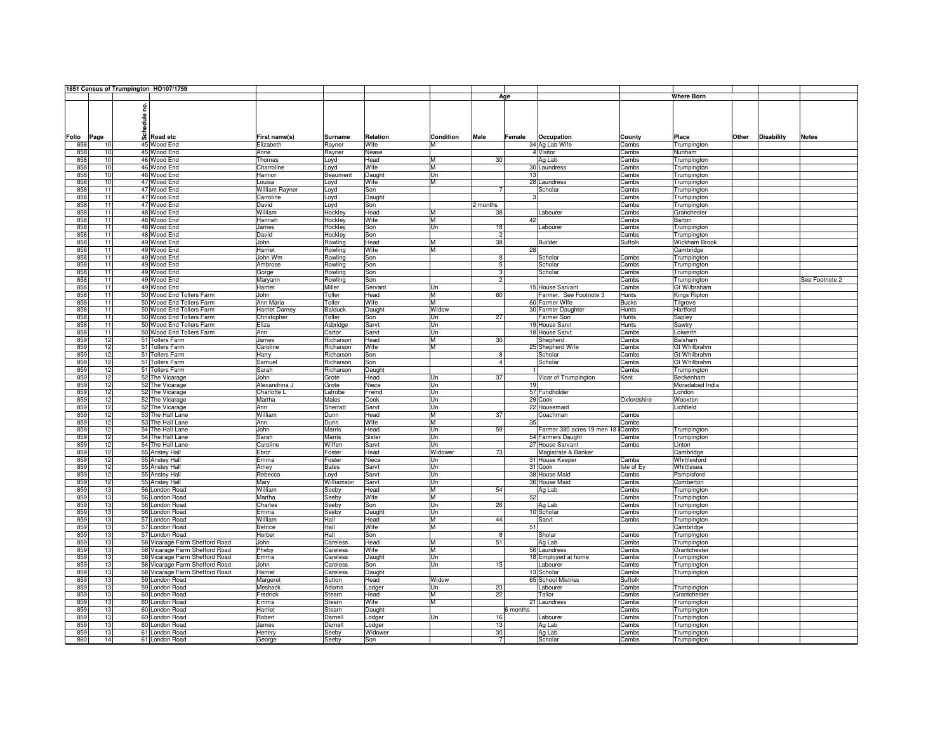|       |                 |       | 1851 Census of Trumpington HO107/1759 |                       |                |          |                         |                         |          |                            |              |                      |       |                   |                |
|-------|-----------------|-------|---------------------------------------|-----------------------|----------------|----------|-------------------------|-------------------------|----------|----------------------------|--------------|----------------------|-------|-------------------|----------------|
|       |                 |       |                                       |                       |                |          |                         |                         | Age      |                            |              | <b>Where Born</b>    |       |                   |                |
|       |                 |       |                                       |                       |                |          |                         |                         |          |                            |              |                      |       |                   |                |
|       |                 | ဠ     |                                       |                       |                |          |                         |                         |          |                            |              |                      |       |                   |                |
|       |                 |       |                                       |                       |                |          |                         |                         |          |                            |              |                      |       |                   |                |
|       |                 | edule |                                       |                       |                |          |                         |                         |          |                            |              |                      |       |                   |                |
|       |                 |       |                                       |                       |                |          |                         |                         |          |                            |              |                      |       |                   |                |
|       |                 | ន៏    |                                       |                       |                | Relation | Condition               | Male                    | Female   |                            |              |                      | Other | <b>Disability</b> |                |
| Folio | Page            |       | Road etc                              | First name(s)         | <b>Surname</b> |          |                         |                         |          | Occupation                 | County       | Place                |       |                   | <b>Notes</b>   |
| 858   | 10              |       | 45 Wood End                           | Elizabeth             | Rayner         | Wife     | м                       |                         |          | 34 Ag Lab Wife             | Cambs        | Trumpington          |       |                   |                |
| 858   | 10              |       | 45 Wood End                           | Anne                  | Rayner         | Nease    |                         |                         |          | 4 Visitor                  | Cambs        | Nunham               |       |                   |                |
| 858   | 10              |       | 46 Wood End                           | Thomas                | Loyd           | Head     | М                       | 30                      |          | Ag Lab                     | Cambs        | Trumpington          |       |                   |                |
| 858   | 10              |       | 46 Wood End                           | Charroline            | Loyd           | Wife     | M                       |                         |          | 30 Laundress               | Cambs        | Trumpington          |       |                   |                |
| 858   | 10              |       | 46 Wood End                           | Hannor                | Beaument       | Daught   | Un                      |                         | 13       |                            | Cambs        | Trumpington          |       |                   |                |
| 858   | 10              |       | 47 Wood End                           | Louisa                | Loyd           | Wife     | м                       |                         |          | 28 Laundress               | Cambs        | Trumpington          |       |                   |                |
| 858   | $\overline{11}$ |       | 47 Wood End                           | <b>William Ravner</b> |                | Son      |                         |                         |          | Scholar                    | Cambs        |                      |       |                   |                |
|       |                 |       |                                       |                       | Loyd           |          |                         |                         |          |                            |              | Trumpington          |       |                   |                |
| 858   | $\overline{11}$ |       | 47 Wood End                           | Carroline             | Loyd           | Daught   |                         |                         |          |                            | Cambs        | Trumpington          |       |                   |                |
| 858   | 11              |       | 47 Wood End                           | David                 | Loyd           | Son      |                         | 2 months                |          |                            | Cambs        | Trumpington          |       |                   |                |
| 858   | $\overline{11}$ |       | 48 Wood End                           | William               | Hockley        | Head     | M                       | 38                      |          | Labourer                   | Cambs        | Granchester          |       |                   |                |
| 858   | 11              |       | 48 Wood End                           | Hannah                | Hockley        | Wife     | М                       |                         | 42       |                            | Cambs        | Barton               |       |                   |                |
| 858   | 11              |       | 48 Wood End                           | James                 | Hockley        | Son      | Un                      | 18                      |          | Labourer                   | Cambs        | Trumpington          |       |                   |                |
| 858   | $\overline{11}$ |       | 48 Wood End                           | David                 | Hockley        | Son      |                         | $\overline{2}$          |          |                            | Cambs        | Trumpington          |       |                   |                |
| 858   | $\overline{11}$ |       | 49 Wood End                           | John                  | Rowling        | Head     | М                       | 38                      |          | <b>Builder</b>             | Suffolk      | <b>Wickham Brook</b> |       |                   |                |
| 858   | $\overline{11}$ |       | 49 Wood End                           | Harriet               | Rowling        | Wife     | М                       |                         | 28       |                            |              | Cambridge            |       |                   |                |
|       |                 |       |                                       |                       |                |          |                         |                         |          |                            |              |                      |       |                   |                |
| 858   | $\overline{11}$ |       | 49 Wood End                           | John Wm               | Rowling        | Son      |                         | 8                       |          | Scholar                    | Cambs        | Trumpington          |       |                   |                |
| 858   | 11              |       | 49 Wood End                           | Ambrose               | Rowling        | Son      |                         | 5                       |          | Scholar                    | Cambs        | Trumpington          |       |                   |                |
| 858   | $\overline{11}$ |       | 49 Wood End                           | Gorge                 | Rowling        | Son      |                         |                         |          | Scholar                    | Cambs        | Trumpington          |       |                   |                |
| 858   | $\overline{11}$ |       | 49 Wood End                           | Maryann               | Rowling        | Son      |                         | 2                       |          |                            | Cambs        | Trumpington          |       |                   | See Footnote 2 |
| 858   | 11              |       | 49 Wood End                           | Harriet               | Miller         | Servant  | $_{\text{Un}}$          |                         |          | 15 House Sarvant           | Cambs        | Gt Wilbraham         |       |                   |                |
| 858   | $\overline{11}$ |       | 50 Wood End Tollers Farm              | John                  | Toller         | Head     | М                       | 60                      |          | Farmer. See Footnote 3     | Hunts        | Kings Ripton         |       |                   |                |
| 858   | $\overline{11}$ |       | 50 Wood End Tollers Farm              | Ann Maria             | Toller         | Wife     | M                       |                         |          | 60 Farmer Wife             | <b>Bucks</b> | Tilgrove             |       |                   |                |
| 858   | $\overline{11}$ |       |                                       | <b>Harriet Darney</b> | <b>Balduck</b> |          | Widow                   |                         |          |                            | Hunts        |                      |       |                   |                |
|       |                 |       | 50 Wood End Tollers Farm              |                       |                | Daught   |                         |                         |          | 30 Farmer Daughter         |              | Hartford             |       |                   |                |
| 858   | $\overline{11}$ |       | 50 Wood End Tollers Farm              | Christopher           | Toller         | Son      | Un                      | 27                      |          | Farmer Son                 | <b>Hunts</b> | Sapley               |       |                   |                |
| 858   | $\overline{11}$ |       | 50 Wood End Tollers Farm              | Eliza                 | Asbridge       | Sarvt    | Un                      |                         |          | 19 House Sarvt             | Hunts        | Sawtry               |       |                   |                |
| 858   | $\overline{11}$ |       | 50 Wood End Tollers Farm              | Ann                   | Cartor         | Sarvt    | Un                      |                         |          | 18 House Sarvt             | Cambs        | Lolwerth             |       |                   |                |
| 859   | 12              |       | 51 Tollers Farm                       | James                 | Richarson      | Head     | M                       | 30                      |          | Shepherd                   | Cambs        | Balsham              |       |                   |                |
| 859   | 12              |       | 51 Tollers Farm                       | Caroline              | Richarson      | Wife     | м                       |                         |          | 25 Shepherd Wife           | Cambs        | Gt Whilbrahm         |       |                   |                |
| 859   | 12              |       | 51 Tollers Farm                       | Harry                 | Richarson      | Son      |                         | 8                       |          | Scholar                    | Cambs        | Gt Whilbrahm         |       |                   |                |
|       | 12              |       |                                       |                       |                |          |                         | $\overline{4}$          |          | Scholar                    |              | Gt Whilbrahm         |       |                   |                |
| 859   |                 |       | 51 Tollers Farm                       | Samuel                | Richarson      | Son      |                         |                         |          |                            | Cambs        |                      |       |                   |                |
| 859   | 12              |       | 51 Tollers Farm                       | Sarah                 | Richarson      | Daught   |                         |                         |          |                            | Cambs        | Trumpington          |       |                   |                |
| 859   | 12              |       | 52 The Vicarage                       | John                  | Grote          | Head     | Un                      | 37                      |          | Vicar of Trumpington       | Kent         | Beckenham            |       |                   |                |
| 859   | 12              |       | 52 The Vicarage                       | Alexandrina J         | Grote          | Niece    | Un                      |                         | 19       |                            |              | Moradabad India      |       |                   |                |
| 859   | 12              |       | 52 The Vicarage                       | Charlotte L           | Latrobe        | Freind   | Un                      |                         |          | 57 Fundholder              |              | London               |       |                   |                |
| 859   | 12              |       | 52 The Vicarage                       | Martha                | Males          | Cook     | Un                      |                         |          | 29 Cook                    | Oxfordshire  | Wooxton              |       |                   |                |
| 859   | 12              |       | 52 The Vicarage                       | Ann                   | Sherratt       | Sarvt    | Un                      |                         |          | 22 Housemaid               |              | Lichfield            |       |                   |                |
| 859   | 12              |       | 53 The Hall Lane                      | William               | Dunn           | Head     | М                       | 37                      |          | Coachman                   | Cambs        |                      |       |                   |                |
| 859   | 12              |       | 53 The Hall Lane                      | Ann                   | Dunn           | Wife     | м                       |                         | 35       |                            | Cambs        |                      |       |                   |                |
|       |                 |       |                                       |                       |                |          |                         |                         |          |                            |              |                      |       |                   |                |
| 859   | 12              |       | 54 The Hall Lane                      | John                  | <b>Marris</b>  | Head     | Un                      | 59                      |          | Farmer 380 acres 19 men 18 | Cambs        | Trumpington          |       |                   |                |
| 859   | 12              |       | 54 The Hall Lane                      | Sarah                 | <b>Marris</b>  | Sister   | Un                      |                         |          | 54 Farmers Daught          | Cambs        | Trumpington          |       |                   |                |
| 859   | 12              |       | 54 The Hall Lane                      | Caroline              | Wiffen         | Sarvt    | Un                      |                         |          | 27 House Sarvant           | Cambs        | Linton               |       |                   |                |
| 859   | 12              |       | 55 Anstey Hall                        | Ebnz                  | Foster         | Head     | Widower                 | 73                      |          | Magistrate & Banker        |              | Cambridge            |       |                   |                |
| 859   | 12              |       | 55 Anstey Hall                        | Emma                  | Foster         | Niece    | Un                      |                         |          | 31 House Keeper            | Cambs        | Whittlesford         |       |                   |                |
| 859   | 12              |       | 55 Anstey Hall                        | Amey                  | <b>Bates</b>   | Sarvt    | Un                      |                         |          | 31 Cook                    | Isle of Ey   | Whittlesea           |       |                   |                |
| 859   | 12              |       | 55 Anstey Hall                        | Rebecca               | Loyd           | Sarvt    | Un                      |                         |          | 38 House Maid              | Cambs        | Pampisford           |       |                   |                |
|       | 12              |       |                                       |                       |                |          | $\overline{\mathsf{I}}$ |                         |          |                            |              |                      |       |                   |                |
| 859   |                 |       | 55 Anstey Hall                        | Mary                  | Williamson     | Sarvt    |                         |                         |          | 36 House Maid              | Cambs        | Comberton            |       |                   |                |
| 859   | 13              |       | 56 London Road                        | William               | Seeby          | Head     | м                       | 54                      |          | Ag Lab                     | Cambs        | Trumpington          |       |                   |                |
| 859   | 13              |       | 56 London Road                        | Martha                | Seeby          | Wife     | М                       |                         | 52       |                            | Cambs        | Trumpington          |       |                   |                |
| 859   | 13              |       | 56 London Road                        | Charles               | Seeby          | Son      | Un                      | 26                      |          | Ag Lab                     | Cambs        | Trumpington          |       |                   |                |
| 859   | 13              |       | 56 London Road                        | Emma                  | Seeby          | Daught   | Un                      |                         |          | 10 Scholar                 | Cambs        | Trumpington          |       |                   |                |
| 859   | 13              |       | 57 London Road                        | William               | Hall           | Head     | М                       | 44                      |          | Sarvt                      | Cambs        | Trumpington          |       |                   |                |
| 859   | 13              |       | 57 London Road                        | Betrice               | Hall           | Wife     | М                       |                         | 51       |                            |              | Cambridge            |       |                   |                |
| 859   | 13              |       | 57 London Road                        | Herbet                | Hall           | Son      |                         | $\overline{\mathbf{8}}$ |          | Sholar                     | Cambs        | Trumpington          |       |                   |                |
|       | 13              |       |                                       |                       |                |          | М                       | 51                      |          |                            |              |                      |       |                   |                |
| 859   |                 |       | 58 Vicarage Farm Shefford Road        | John                  | Careless       | Head     |                         |                         |          | Ag Lab                     | Cambs        | Trumpington          |       |                   |                |
| 859   | 13              |       | 58 Vicarage Farm Shefford Road        | Pheby                 | Careless       | Wife     | M                       |                         |          | 56 Laundress               | Cambs        | Grantchester         |       |                   |                |
| 859   | 13              |       | 58 Vicarage Farm Shefford Road        | Emma                  | Careless       | Daught   | Un                      |                         |          | 18 Employed at home        | Cambs        | Trumpington          |       |                   |                |
| 859   | 13              |       | 58 Vicarage Farm Shefford Road        | John                  | Careless       | Son      | Un                      | 15                      |          | Labourer                   | Cambs        | Trumpington          |       |                   |                |
| 859   | 13              |       | 58 Vicarage Farm Shefford Road        | Harriet               | Careless       | Daught   |                         |                         |          | 13 Scholar                 | Cambs        | Trumpington          |       |                   |                |
| 859   | 13              |       | 59 London Road                        | Margeret              | Sutton         | Head     | Widow                   |                         |          | 65 School Mistriss         | Suffolk      |                      |       |                   |                |
| 859   | 13              |       | 59 London Road                        | Meshack               | Adams          | Lodger   | Un                      | 23                      |          | Labourer                   | Cambs        | Trumpington          |       |                   |                |
|       | 13              |       |                                       |                       |                |          | M                       | 22                      |          |                            |              |                      |       |                   |                |
| 859   |                 |       | 60 London Road                        | Fredrick              | Stearn         | Head     |                         |                         |          | Tailor                     | Cambs        | Grantchester         |       |                   |                |
| 859   | 13              |       | 60 London Road                        | Emma                  | Stearn         | Wife     | М                       |                         |          | 21 Laundress               | Cambs        | Trumpington          |       |                   |                |
| 859   | 13              |       | 60 London Road                        | Harriet               | Stearn         | Daught   |                         |                         | 6 months |                            | Cambs        | Trumpington          |       |                   |                |
| 859   | 13              |       | 60 London Road                        | Robert                | Darnell        | Lodger   | Un                      | 16                      |          | Labourer                   | Cambs        | Trumpington          |       |                   |                |
| 859   | 13              |       | 60 London Road                        | James                 | Darnell        | Lodger   |                         | 13                      |          | Ag Lab                     | Cambs        | Trumpington          |       |                   |                |
| 859   | 13              |       | 61 London Road                        | Henery                | Seeby          | Widower  |                         | 30                      |          | Ag Lab                     | Cambs        | Trumpington          |       |                   |                |
| 860   | 14              |       | 61 London Road                        | George                | Seeby          | Son      |                         |                         |          | Scholar                    | Cambs        | Trumpington          |       |                   |                |
|       |                 |       |                                       |                       |                |          |                         |                         |          |                            |              |                      |       |                   |                |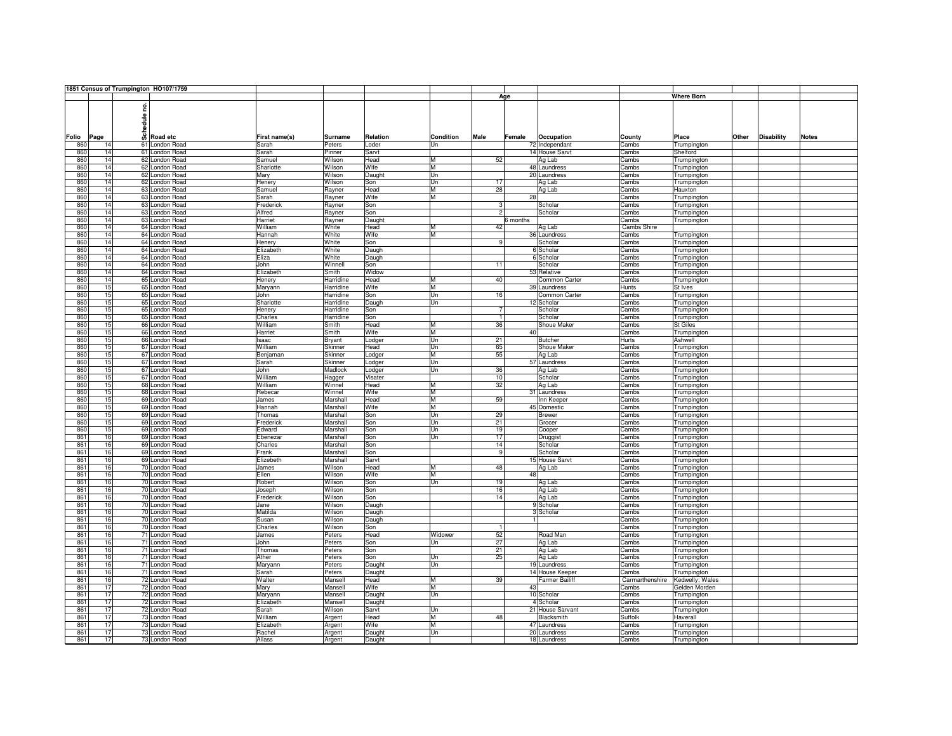|       |      | 1851 Census of Trumpington HO107/1759 |               |           |          |           |                |                       |                 |                   |       |                   |              |
|-------|------|---------------------------------------|---------------|-----------|----------|-----------|----------------|-----------------------|-----------------|-------------------|-------|-------------------|--------------|
|       |      |                                       |               |           |          |           |                | Age                   |                 | <b>Where Born</b> |       |                   |              |
|       |      |                                       |               |           |          |           |                |                       |                 |                   |       |                   |              |
|       |      | g                                     |               |           |          |           |                |                       |                 |                   |       |                   |              |
|       |      |                                       |               |           |          |           |                |                       |                 |                   |       |                   |              |
|       |      | Schedule                              |               |           |          |           |                |                       |                 |                   |       |                   |              |
|       |      |                                       |               |           |          |           |                |                       |                 |                   |       |                   |              |
|       |      |                                       |               |           |          |           |                |                       |                 |                   |       |                   |              |
| Folio | Page | Road etc                              | First name(s) | Surname   | Relation | Condition | Male           | Occupation<br>Female  | County          | Place             | Other | <b>Disability</b> | <b>Notes</b> |
| 860   | 14   | 61 London Road                        | Sarah         | Peters    | Loder    | Un        |                | 72 Independant        | Cambs           | Trumpington       |       |                   |              |
| 860   | 14   | 61 London Road                        | Sarah         | Pinner    | Sarvt    |           |                | 14 House Sarvt        | Cambs           | Shelford          |       |                   |              |
| 860   | 14   | 62 London Road                        | Samuel        | Wilson    | Head     | ĪМ        | 52             | Ag Lab                | Cambs           | Trumpington       |       |                   |              |
| 860   | 14   | 62 London Road                        | Sharlotte     | Wilson    | Wife     | M         |                | 48 Laundress          | Cambs           | Trumpington       |       |                   |              |
| 860   | 14   | 62 London Road                        | Mary          | Wilson    | Daught   | lUn       |                | 20 Laundress          | Cambs           | Trumpington       |       |                   |              |
| 860   | 14   | 62 London Road                        |               |           |          | Un        | 17             |                       |                 |                   |       |                   |              |
|       |      |                                       | Henery        | Wilson    | Son      |           |                | Ag Lab                | Cambs           | Trumpington       |       |                   |              |
| 860   | 14   | 63 London Road                        | Samuel        | Rayner    | Head     | ĪМ        | 28             | Ag Lab                | Cambs           | Hauxton           |       |                   |              |
| 860   | 14   | 63 London Road                        | Sarah         | Rayner    | Wife     | M         |                | 28                    | Cambs           | Trumpington       |       |                   |              |
| 860   | 14   | 63 London Road                        | Frederick     | Rayner    | Son      |           | G,             | Scholar               | Cambs           | Trumpington       |       |                   |              |
| 860   | 14   | 63 London Road                        | Alfred        | Rayner    | Son      |           | $\overline{2}$ | Scholar               | Cambs           | Trumpington       |       |                   |              |
| 860   | 14   | 63 London Road                        | Harriet       | Rayner    | Daught   |           |                | 6 months              | Cambs           | Trumpington       |       |                   |              |
| 860   | 14   | 64 London Road                        | William       | White     | Head     | M         | 42             | Ag Lab                | Cambs Shire     |                   |       |                   |              |
| 860   | 14   | 64 London Road                        | Hannah        | White     | Wife     | M         |                | 36 Laundress          | Cambs           | Trumpington       |       |                   |              |
| 860   | 14   | 64 London Road                        |               | White     |          |           | .g             | Scholar               | Cambs           |                   |       |                   |              |
|       |      |                                       | Henery        |           | Son      |           |                |                       |                 | Trumpington       |       |                   |              |
| 860   | 14   | 64 London Road                        | Elizabeth     | White     | Daugh    |           |                | 6 Scholar             | Cambs           | Trumpington       |       |                   |              |
| 860   | 14   | 64 London Road                        | Eliza         | White     | Daugh    |           |                | 6 Scholar             | Cambs           | Trumpington       |       |                   |              |
| 860   | 14   | 64 London Road                        | John          | Winnell   | Son      |           | 11             | Scholar               | Cambs           | Trumpington       |       |                   |              |
| 860   | 14   | 64 London Road                        | Elizabeth     | Smith     | Widow    |           |                | 53 Relative           | Cambs           | Trumpington       |       |                   |              |
| 860   | 14   | 65 London Road                        | Henery        | Harridine | Head     | M         | 40             | Common Carter         | Cambs           | Trumpington       |       |                   |              |
| 860   | 15   | 65 London Road                        | Maryann       | Harridine | Wife     | ĪМ        |                | 39 Laundress          | Hunts           | St Ives           |       |                   |              |
| 860   | 15   | 65 London Road                        | John          | Harridine | Son      | lUn       | 16             | Common Carter         | Cambs           | Trumpington       |       |                   |              |
|       |      |                                       |               |           |          |           |                |                       |                 |                   |       |                   |              |
| 860   | 15   | 65 London Road                        | Sharlotte     | Harridine | Daugh    | Un        |                | 12 Scholar            | Cambs           | Trumpington       |       |                   |              |
| 860   | 15   | 65 London Road                        | Henery        | Harridine | Son      |           | $\overline{7}$ | Scholar               | Cambs           | Trumpington       |       |                   |              |
| 860   | 15   | 65 London Road                        | Charles       | Harridine | Son      |           | -11            | Scholar               | Cambs           | Trumpington       |       |                   |              |
| 860   | 15   | 66 London Road                        | William       | Smith     | Head     | M         | 36             | Shoue Maker           | Cambs           | St Giles          |       |                   |              |
| 860   | 15   | 66 London Road                        | Harriet       | Smith     | Wife     | ĪМ        |                | 40                    | Cambs           | Trumpington       |       |                   |              |
| 860   | 15   | 66 London Road                        | Isaac         | Bryant    | Lodger   | lUn       | 21             | Butcher               | <b>Hurts</b>    | Ashwell           |       |                   |              |
| 860   | 15   | 67 London Road                        | William       | Skinner   | Head     | Un        | 65             | Shoue Maker           | Cambs           | Trumpington       |       |                   |              |
|       | 15   |                                       |               |           |          | M         | 55             |                       |                 |                   |       |                   |              |
| 860   |      | 67 London Road                        | Benjaman      | Skinner   | Lodger   |           |                | Ag Lab                | Cambs           | Trumpington       |       |                   |              |
| 860   | 15   | 67 London Road                        | Sarah         | Skinner   | Lodger   | Un        |                | 57 Laundress          | Cambs           | Trumpington       |       |                   |              |
| 860   | 15   | 67 London Road                        | John          | Madlock   | Lodger   | Un        | 36             | Ag Lab                | Cambs           | Trumpington       |       |                   |              |
| 860   | 15   | 67 London Road                        | William       | Hagger    | Visater  |           | 10             | Scholar               | Cambs           | Trumpington       |       |                   |              |
| 860   | 15   | 68 London Road                        | William       | Winnel    | Head     | M         | 32             | Ag Lab                | Cambs           | Trumpington       |       |                   |              |
| 860   | 15   | 68 London Road                        | Rebecar       | Winnel    | Wife     | M         |                | 31 Laundress          | Cambs           | Trumpington       |       |                   |              |
| 860   | 15   | 69 London Road                        | James         | Marshall  | Head     | M         | 59             | Inn Keeper            | Cambs           | Trumpington       |       |                   |              |
| 860   | 15   | 69 London Road                        |               | Marshall  | Wife     | M         |                | 45 Domestic           |                 |                   |       |                   |              |
|       |      |                                       | Hannah        |           |          |           |                |                       | Cambs           | Trumpington       |       |                   |              |
| 860   | 15   | 69 London Road                        | Thomas        | Marshall  | Son      | Un        | 29             | <b>Brewer</b>         | Cambs           | Trumpington       |       |                   |              |
| 860   | 15   | 69 London Road                        | Frederick     | Marshall  | Son      | Un        | 21             | Grocer                | Cambs           | Trumpington       |       |                   |              |
| 860   | 15   | 69 London Road                        | Edward        | Marshall  | Son      | Un        | 19             | Cooper                | Cambs           | Trumpington       |       |                   |              |
| 861   | 16   | 69 London Road                        | Ebenezar      | Marshall  | Son      | Un        | 17             | Druggist              | Cambs           | Trumpington       |       |                   |              |
| 861   | 16   | 69 London Road                        | Charles       | Marshall  | Son      |           | 14             | Scholar               | Cambs           | Trumpington       |       |                   |              |
| 861   | 16   | 69 London Road                        | Frank         | Marshall  | Son      |           | $\overline{9}$ | Scholar               | Cambs           | Trumpington       |       |                   |              |
| 861   | 16   | 69 London Road                        | Elizebeth     | Marshall  | Sarvt    |           |                | 15 House Sarvt        | Cambs           | Trumpington       |       |                   |              |
| 861   | 16   |                                       |               |           | Head     | M         | 48             | Ag Lab                |                 |                   |       |                   |              |
|       |      | 70 London Road                        | James         | Wilson    |          |           |                |                       | Cambs           | Trumpington       |       |                   |              |
| 861   | 16   | 70 London Road                        | Ellen         | Wilson    | Wife     | M         |                | 48                    | Cambs           | Trumpington       |       |                   |              |
| 861   | 16   | 70 London Road                        | Robert        | Wilson    | Son      | Un        | 19             | Ag Lab                | Cambs           | Trumpington       |       |                   |              |
| 861   | 16   | 70 London Road                        | Joseph        | Wilson    | Son      |           | 16             | Ag Lab                | Cambs           | Trumpington       |       |                   |              |
| 861   | 16   | 70 London Road                        | Frederick     | Wilson    | Son      |           | 14             | Ag Lab                | Cambs           | Trumpington       |       |                   |              |
| 861   | 16   | 70 London Road                        | Jane          | Wilson    | Daugh    |           |                | 9 Scholar             | Cambs           | Trumpington       |       |                   |              |
| 861   | 16   | 70 London Road                        | Matilda       | Wilson    | Daugh    |           |                | 3 Scholar             | Cambs           | Trumpington       |       |                   |              |
| 861   | 16   | 70 London Road                        | Susan         | Wilson    | Daugh    |           |                |                       | Cambs           | Trumpington       |       |                   |              |
| 861   | 16   | 70 London Road                        | Charles       | Wilson    |          |           | Ŧ              |                       | Cambs           | Trumpington       |       |                   |              |
|       |      |                                       |               |           | Son      |           |                |                       |                 |                   |       |                   |              |
| 861   | 16   | 71 London Road                        | James         | Peters    | Head     | Widower   | 52             | Road Man              | Cambs           | Trumpington       |       |                   |              |
| 861   | 16   | 71 London Road                        | John          | Peters    | Son      | Un        | 27             | Ag Lab                | Cambs           | Trumpington       |       |                   |              |
| 861   | 16   | 71 London Road                        | Thomas        | Peters    | Son      |           | 21             | Ag Lab                | Cambs           | Trumpington       |       |                   |              |
| 861   | 16   | 71 London Road                        | Ather         | Peters    | Son      | <b>Un</b> | 25             | Ag Lab                | Cambs           | Trumpington       |       |                   |              |
| 861   | 16   | 71 London Road                        | Maryann       | Peters    | Daught   | Un        |                | 19 Laundress          | Cambs           | Trumpington       |       |                   |              |
| 861   | 16   | 71 London Road                        | Sarah         | Peters    | Daught   |           |                | 14 House Keeper       | Cambs           | Trumpington       |       |                   |              |
| 861   | 16   | 72 London Road                        | Walter        | Mansell   | Head     | ĪМ        | 39             | <b>Farmer Bailiff</b> | Carmarthenshire | Kedwelly; Wales   |       |                   |              |
| 861   | 17   | 72 London Road                        | Mary          | Mansell   | Wife     | M         |                | 43                    |                 | Gelden Morden     |       |                   |              |
|       |      |                                       |               |           |          |           |                |                       | Cambs           |                   |       |                   |              |
| 861   | 17   | 72 London Road                        | Maryann       | Mansell   | Daught   | Un        |                | 10 Scholar            | Cambs           | Trumpington       |       |                   |              |
| 861   | 17   | 72 London Road                        | Elizabeth     | Mansell   | Daught   |           |                | 4 Scholar             | Cambs           | Trumpington       |       |                   |              |
| 861   | 17   | 72 London Road                        | Sarah         | Wilson    | Sarvt    | Un        |                | 21 House Sarvant      | Cambs           | Trumpington       |       |                   |              |
| 861   | 17   | 73 London Road                        | William       | Argent    | Head     | M         | 48             | Blacksmith            | Suffolk         | Haverall          |       |                   |              |
| 861   | 17   | 73 London Road                        | Elizabeth     | Argent    | Wife     | M         |                | 47 Laundress          | Cambs           | Trumpington       |       |                   |              |
| 861   | 17   | 73 London Road                        | Rachel        | Argent    | Daught   | Un        |                | 20 Laundress          | Cambs           | Trumpington       |       |                   |              |
|       | 17   | 73 London Road                        | Allass        |           |          |           |                |                       |                 |                   |       |                   |              |
| 861   |      |                                       |               | Argent    | Daught   |           |                | 18 Laundress          | Cambs           | Trumpington       |       |                   |              |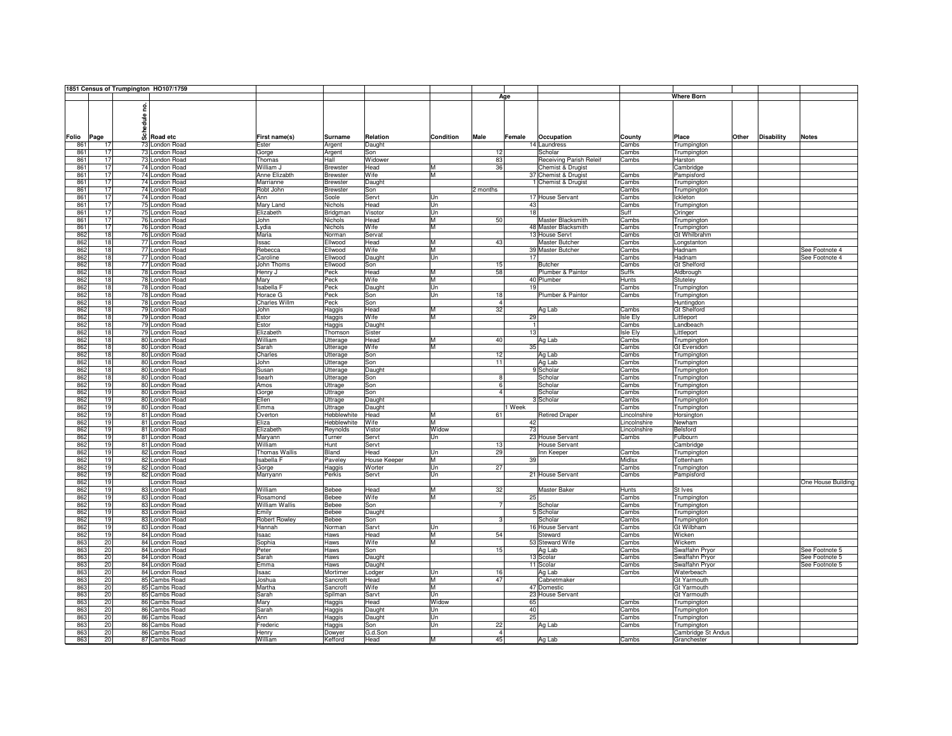|       |     |      |       | 1851 Census of Trumpington HO107/1759 |                       |                    |                     |                  |                         |        |                         |                 |                    |       |                   |                    |
|-------|-----|------|-------|---------------------------------------|-----------------------|--------------------|---------------------|------------------|-------------------------|--------|-------------------------|-----------------|--------------------|-------|-------------------|--------------------|
|       |     |      |       |                                       |                       |                    |                     |                  |                         | Age    |                         |                 | <b>Where Born</b>  |       |                   |                    |
|       |     |      |       |                                       |                       |                    |                     |                  |                         |        |                         |                 |                    |       |                   |                    |
|       |     |      | ဠ     |                                       |                       |                    |                     |                  |                         |        |                         |                 |                    |       |                   |                    |
|       |     |      |       |                                       |                       |                    |                     |                  |                         |        |                         |                 |                    |       |                   |                    |
|       |     |      | edule |                                       |                       |                    |                     |                  |                         |        |                         |                 |                    |       |                   |                    |
|       |     |      |       |                                       |                       |                    |                     |                  |                         |        |                         |                 |                    |       |                   |                    |
| Folio |     | Page | ន៏    | Road etc                              | First name(s)         | <b>Surname</b>     | Relation            | <b>Condition</b> | Male                    | Female | Occupation              | County          | Place              | Other | <b>Disability</b> | <b>Notes</b>       |
|       |     | 17   |       |                                       |                       |                    |                     |                  |                         |        |                         |                 |                    |       |                   |                    |
|       | 861 |      |       | 73 London Road                        | Ester                 | Argent             | Daught              |                  |                         |        | 14 Laundress            | Cambs           | Trumpington        |       |                   |                    |
|       | 861 | 17   |       | 73 London Road                        | Gorge                 | Argent             | Son                 |                  | 12                      |        | Scholar                 | Cambs           | Trumpington        |       |                   |                    |
|       | 861 | 17   |       | 73 London Road                        | Thomas                | Hall               | Widower             |                  | 83                      |        | Receiving Parish Releif | Cambs           | Harston            |       |                   |                    |
|       | 861 | 17   |       | 74 London Road                        | William J             | <b>Brewster</b>    | Head                | M                | 36                      |        | Chemist & Drugist       |                 | Cambridge          |       |                   |                    |
|       | 861 | 17   |       | 74 London Road                        | Anne Elizabth         | <b>Brewster</b>    | Wife                | M                |                         |        | 37 Chemist & Drugist    | Cambs           | Pampisford         |       |                   |                    |
|       | 861 | 17   |       | 74 London Road                        | Marrianne             | <b>Brewster</b>    | Daught              |                  |                         |        | 1 Chemist & Drugist     | Cambs           | Trumpington        |       |                   |                    |
|       | 861 | 17   |       | 74 London Road                        | Robt John             | <b>Brewster</b>    | Son                 |                  | 2 months                |        |                         | Cambs           | Trumpington        |       |                   |                    |
|       | 861 | 17   |       | 74 London Road                        | Ann                   | Soole              | Servt               | Un               |                         |        | 17 House Servant        | Cambs           | Ickleton           |       |                   |                    |
|       | 861 | 17   |       | 75 London Road                        | Mary Land             | Nichols            | Head                | Un               |                         | 43     |                         | Cambs           | Trumpington        |       |                   |                    |
|       |     | 17   |       |                                       | Elizabeth             |                    |                     | Un               |                         | 18     |                         |                 |                    |       |                   |                    |
|       | 861 |      |       | 75 London Road                        |                       | Bridgman           | Visotor             |                  |                         |        |                         | Suff            | Oringer            |       |                   |                    |
|       | 861 | 17   |       | 76 London Road                        | John                  | Nichols            | Head                | м                | 50                      |        | Master Blacksmith       | Cambs           | Trumpington        |       |                   |                    |
|       | 861 | 17   |       | 76 London Road                        | Lydia                 | Nichols            | Wife                | M                |                         |        | 48 Master Blacksmith    | Cambs           | Trumpington        |       |                   |                    |
|       | 862 | 18   |       | 76 London Road                        | Maria                 | Norman             | Servat              |                  |                         |        | 13 House Servt          | Cambs           | Gt Whilbrahm       |       |                   |                    |
|       | 862 | 18   |       | 77 London Road                        | Issac                 | Ellwood            | Head                | М                | 43                      |        | <b>Master Butcher</b>   | Cambs           | Longstanton        |       |                   |                    |
|       | 862 | 18   |       | 77 London Road                        | Rebecca               | Ellwood            | Wife                | M                |                         |        | 39 Master Butcher       | Cambs           | Hadnam             |       |                   | See Footnote 4     |
|       | 862 | 18   |       | 77 London Road                        | Caroline              | Ellwood            | Daught              | Un               |                         | 17     |                         | Cambs           | Hadnam             |       |                   | See Footnote 4     |
|       |     | 18   |       |                                       | John Thoms            |                    |                     |                  | 15                      |        | <b>Butcher</b>          |                 |                    |       |                   |                    |
|       | 862 |      |       | 77 London Road                        |                       | Ellwood            | Son                 |                  |                         |        |                         | Cambs           | Gt Shelford        |       |                   |                    |
|       | 862 | 18   |       | 78 London Road                        | Henry J               | Peck               | Head                | М                | 58                      |        | Plumber & Paintor       | Suffk           | Aldbrough          |       |                   |                    |
|       | 862 | 18   |       | 78 London Road                        | Mary                  | Peck               | Wife                | M                |                         |        | 40 Plumber              | <b>Hunts</b>    | Stuteley           |       |                   |                    |
|       | 862 | 18   |       | 78 London Road                        | Isabella F            | Peck               | Daught              | Un               |                         | 19     |                         | Cambs           | Trumpington        |       |                   |                    |
|       | 862 | 18   |       | 78 London Road                        | Horace G              | Peck               | Son                 | Un               | 18                      |        | Plumber & Paintor       | Cambs           | Trumpington        |       |                   |                    |
|       | 862 | 18   |       | 78 London Road                        | <b>Charles Willm</b>  | Peck               | Son                 |                  | $\overline{4}$          |        |                         |                 | Huntingdon         |       |                   |                    |
|       | 862 | 18   |       | 79 London Road                        | John                  | Haggis             | Head                | М                | 32                      |        | Ag Lab                  | Cambs           | <b>Gt Shelford</b> |       |                   |                    |
|       | 862 | 18   |       | 79 London Road                        | Estor                 | Haggis             | Wife                | M                |                         | 29     |                         | <b>Isle Ely</b> | Littleport         |       |                   |                    |
|       |     | 18   |       |                                       |                       |                    |                     |                  |                         |        |                         |                 |                    |       |                   |                    |
|       | 862 |      |       | 79 London Road                        | Estor                 | Haggis             | Daught              |                  |                         |        |                         | Cambs           | Landbeach          |       |                   |                    |
|       | 862 | 18   |       | 79 London Road                        | Elizabeth             | Thomson            | Sister              |                  |                         | 13     |                         | Isle Ely        | Littleport         |       |                   |                    |
|       | 862 | 18   |       | 80 London Road                        | William               | Utterage           | Head                | М                | 40                      |        | Ag Lab                  | Cambs           | Trumpington        |       |                   |                    |
|       | 862 | 18   |       | 80 London Road                        | Sarah                 | Utterage           | Wife                | М                |                         | 35     |                         | Cambs           | <b>Gt Eversdon</b> |       |                   |                    |
|       | 862 | 18   |       | 80 London Road                        | Charles               | Utterage           | Son                 |                  | 12                      |        | Ag Lab                  | Cambs           | Trumpington        |       |                   |                    |
|       | 862 | 18   |       | 80 London Road                        | John                  | Utterage           | Son                 |                  | 11                      |        | Ag Lab                  | Cambs           | Trumpington        |       |                   |                    |
|       | 862 | 18   |       | 80 London Road                        | Susan                 | Utterage           | Daught              |                  |                         |        | 9 Scholar               | Cambs           | Trumpington        |       |                   |                    |
|       | 862 | 18   |       | 80 London Road                        | Isearh                | Utterage           | Son                 |                  | $\overline{\mathbf{8}}$ |        | Scholar                 | Cambs           | Trumpington        |       |                   |                    |
|       |     | 19   |       |                                       |                       |                    |                     |                  | $\overline{6}$          |        |                         |                 |                    |       |                   |                    |
|       | 862 |      |       | 80 London Road                        | Amos                  | Uttrage            | Son                 |                  |                         |        | Scholar                 | Cambs           | Trumpington        |       |                   |                    |
|       | 862 | 19   |       | 80 London Road                        | Gorge                 | Uttrage            | Son                 |                  |                         |        | Scholar                 | Cambs           | Trumpington        |       |                   |                    |
|       | 862 | 19   |       | 80 London Road                        | Ellen                 | Uttrage            | Daught              |                  |                         |        | Scholar                 | Cambs           | Trumpington        |       |                   |                    |
|       | 862 | 19   |       | 80 London Road                        | Emma                  | Uttrage            | Daught              |                  |                         | 1 Week |                         | Cambs           | Trumpington        |       |                   |                    |
|       | 862 | 19   |       | 81 London Road                        | Overton               | <b>Hebblewhite</b> | Head                | М                | 61                      |        | <b>Retired Draper</b>   | Lincolnshire    | Horsington         |       |                   |                    |
|       | 862 | 19   |       | 81 London Road                        | Eliza                 | Hebblewhite        | Wife                | м                |                         | 42     |                         | Lincolnshire    | Newham             |       |                   |                    |
|       | 862 | 19   |       | 81 London Road                        | Elizabeth             | Reynolds           | Vistor              | Widow            |                         | 73     |                         | Lincolnshire    | Belsford           |       |                   |                    |
|       | 862 | 19   |       | 81 London Road                        | Maryann               | Turner             | Servt               | Un               |                         |        | 23 House Servant        | Cambs           | Fulbourn           |       |                   |                    |
|       |     |      |       |                                       |                       |                    |                     |                  |                         |        |                         |                 |                    |       |                   |                    |
|       | 862 | 19   |       | 81 London Road                        | William               | Hunt               | Servt               |                  | 13                      |        | <b>House Servant</b>    |                 | Cambridge          |       |                   |                    |
|       | 862 | 19   |       | 82 London Road                        | <b>Thomas Wallis</b>  | Bland              | Head                | Un               | 29                      |        | Inn Keeper              | Cambs           | Trumpington        |       |                   |                    |
|       | 862 | 19   |       | 82 London Road                        | <b>Isabella</b> F     | Paveley            | <b>House Keeper</b> | М                |                         | 39     |                         | Midlsx          | Tottenham          |       |                   |                    |
|       | 862 | 19   |       | 82 London Road                        | Gorge                 | Haggis             | Worter              | Un               | 27                      |        |                         | Cambs           | Trumpington        |       |                   |                    |
|       | 862 | 19   |       | 82 London Road                        | Marryann              | Perkis             | Servt               | Un               |                         |        | 21 House Servant        | Cambs           | Pampisford         |       |                   |                    |
|       | 862 | 19   |       | London Road                           |                       |                    |                     |                  |                         |        |                         |                 |                    |       |                   | One House Building |
|       | 862 | 19   |       | 83 London Road                        | William               | Bebee              | Head                | M                | 32                      |        | <b>Master Baker</b>     | Hunts           | St Ives            |       |                   |                    |
|       | 862 | 19   |       | 83 London Road                        | Rosamond              | Bebee              | Wife                | М                |                         | 25     |                         | Cambs           | Trumpington        |       |                   |                    |
|       | 862 | 19   |       | 83 London Road                        | <b>William Wallis</b> | Bebee              | Son                 |                  | $\overline{7}$          |        | Scholar                 | Cambs           | Trumpington        |       |                   |                    |
|       |     |      |       |                                       |                       |                    |                     |                  |                         |        |                         |                 |                    |       |                   |                    |
|       | 862 | 19   |       | 83 London Road                        | Emily                 | Bebee              | Daught              |                  |                         |        | 5 Scholar               | Cambs           | Trumpington        |       |                   |                    |
|       | 862 | 19   |       | 83 London Road                        | Robert Rowley         | Bebee              | Son                 |                  | Я                       |        | Scholar                 | Cambs           | Trumpington        |       |                   |                    |
|       | 862 | 19   |       | 83 London Road                        | Hannah                | Norman             | Sarvt               | Un               |                         |        | 16 House Servant        | Cambs           | Gt Wilbham         |       |                   |                    |
|       | 862 | 19   |       | 84 London Road                        | Isaac                 | Haws               | Head                | M                | 54                      |        | Steward                 | Cambs           | Wicken             |       |                   |                    |
|       | 863 | 20   |       | 84 London Road                        | Sophia                | Haws               | Wife                | М                |                         |        | 53 Steward Wife         | Cambs           | Wickem             |       |                   |                    |
|       | 863 | 20   |       | 84 London Road                        | Peter                 | Haws               | Son                 |                  | 15                      |        | Ag Lab                  | Cambs           | Swaffahn Pryor     |       |                   | See Footnote 5     |
|       | 863 | 20   |       | 84 London Road                        | Sarah                 | Haws               | Daught              |                  |                         |        | 13 Scolar               | Cambs           | Swaffahn Pryor     |       |                   | See Footnote 5     |
|       | 863 | 20   |       | 84 London Road                        | Emma                  | Haws               | Daught              |                  |                         |        | 11 Scolar               | Cambs           | Swaffahn Pryor     |       |                   | See Footnote 5     |
|       |     |      |       |                                       |                       |                    |                     |                  | 16                      |        |                         |                 |                    |       |                   |                    |
|       | 863 | 20   |       | 84 London Road                        | Isaac                 | Mortimer           | Lodger              | Un               |                         |        | Ag Lab                  | Cambs           | Waterbeach         |       |                   |                    |
|       | 863 | 20   |       | 85 Cambs Road                         | Joshua                | Sancroft           | Head                | M                | 47                      |        | Cabnetmaker             |                 | <b>Gt Yarmouth</b> |       |                   |                    |
|       | 863 | 20   |       | 85 Cambs Road                         | Martha                | Sancroft           | Wife                | М                |                         |        | 47 Domestic             |                 | Gt Yarmouth        |       |                   |                    |
|       | 863 | 20   |       | 85 Cambs Road                         | Sarah                 | Spilman            | Sarvt               | Un               |                         |        | 23 House Servant        |                 | Gt Yarmouth        |       |                   |                    |
|       | 863 | 20   |       | 86 Cambs Road                         | Mary                  | Haggis             | Head                | Widow            |                         | 65     |                         | Cambs           | Trumpington        |       |                   |                    |
|       | 863 | 20   |       | 86 Cambs Road                         | Sarah                 | Haggis             | Daught              | Un               |                         | 40     |                         | Cambs           | Trumpington        |       |                   |                    |
|       | 863 | 20   |       | 86 Cambs Road                         | Ann                   | Haggis             | Daught              | Un               |                         | 25     |                         | Cambs           | Trumpington        |       |                   |                    |
|       | 863 | 20   |       | 86 Cambs Road                         | Frederic              |                    | Son                 | Un               | 22                      |        | Ag Lab                  | Cambs           | Trumpington        |       |                   |                    |
|       |     |      |       |                                       |                       | Haggis             |                     |                  | $\overline{4}$          |        |                         |                 |                    |       |                   |                    |
|       | 863 | 20   |       | 86 Cambs Road                         | Henry                 | Dowyer             | G.d.Son             |                  |                         |        |                         |                 | Cambridge St Andus |       |                   |                    |
|       | 863 | 20   |       | 87 Cambs Road                         | William               | Kefford            | Head                | M                | 45                      |        | Ag Lab                  | Cambs           | Granchester        |       |                   |                    |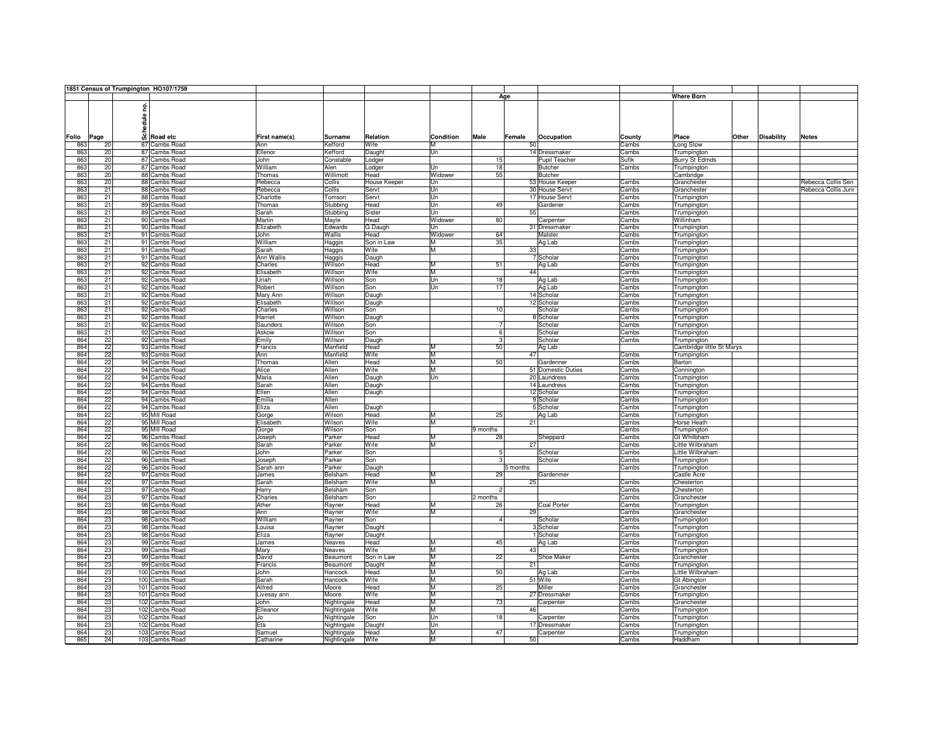|       |     |      |       | 1851 Census of Trumpington HO107/1759 |               |                |              |                  |                |          |                    |        |                           |       |                   |                     |
|-------|-----|------|-------|---------------------------------------|---------------|----------------|--------------|------------------|----------------|----------|--------------------|--------|---------------------------|-------|-------------------|---------------------|
|       |     |      |       |                                       |               |                |              |                  |                | Age      |                    |        | Where Born                |       |                   |                     |
|       |     |      |       |                                       |               |                |              |                  |                |          |                    |        |                           |       |                   |                     |
|       |     |      | ဠ     |                                       |               |                |              |                  |                |          |                    |        |                           |       |                   |                     |
|       |     |      |       |                                       |               |                |              |                  |                |          |                    |        |                           |       |                   |                     |
|       |     |      | edule |                                       |               |                |              |                  |                |          |                    |        |                           |       |                   |                     |
|       |     |      |       |                                       |               |                |              |                  |                |          |                    |        |                           |       |                   |                     |
| Folio |     | Page | ន៏    | <b>Road etc</b>                       | First name(s) | <b>Surname</b> | Relation     | <b>Condition</b> | Male           | Female   | Occupation         | County | Place                     | Other | <b>Disability</b> | <b>Notes</b>        |
|       | 863 | 20   |       | 87 Cambs Road                         | Ann           | Kefford        | Wife         | м                |                | 50       |                    | Cambs  | Long Stow                 |       |                   |                     |
|       | 863 | 20   |       | 87 Cambs Road                         | Ellenor       | Kefford        |              | Un               |                |          | 14 Dressmaker      | Cambs  |                           |       |                   |                     |
|       |     |      |       |                                       |               |                | Daught       |                  |                |          |                    |        | Trumpington               |       |                   |                     |
|       | 863 | 20   |       | 87 Cambs Road                         | John          | Constable      | Lodger       |                  | 15             |          | Pupil Teacher      | Suflk  | <b>Burry St Edmds</b>     |       |                   |                     |
|       | 863 | 20   |       | 87 Cambs Road                         | William       | Alen           | Lodger       | Un               | 18             |          | <b>Butcher</b>     | Cambs  | Trumpington               |       |                   |                     |
|       | 863 | 20   |       | 88 Cambs Road                         | Thomas        | Willimott      | Head         | Widower          | 55             |          | <b>Butcher</b>     |        | Cambridge                 |       |                   |                     |
|       | 863 | 20   |       | 88 Cambs Road                         | Rebecca       | Collis         | House Keeper | Un               |                |          | 53 House Keeper    | Cambs  | Granchester               |       |                   | Rebecca Collis Sen  |
|       | 863 | 21   |       | 88 Cambs Road                         | Rebecca       | Collis         | Servt        | Un               |                |          | 30 House Servt     | Cambs  | Granchester               |       |                   | Rebecca Collis Junr |
|       | 863 | 21   |       | 88 Cambs Road                         | Charlotte     | Tomson         | Servt        | Un               |                |          | 17 House Servt     | Cambs  | Trumpington               |       |                   |                     |
|       | 863 | 21   |       | 89 Cambs Road                         | Thomas        | Stubbing       | Head         | Un               | 49             |          | Gardener           | Cambs  | Trumpington               |       |                   |                     |
|       | 863 | 21   |       | 89 Cambs Road                         | Sarah         | Stubbing       | Sister       | Un               |                | 55       |                    | Cambs  |                           |       |                   |                     |
|       |     |      |       |                                       |               |                |              |                  |                |          |                    |        | Trumpington               |       |                   |                     |
|       | 863 | 21   |       | 90 Cambs Road                         | Martin        | Mayle          | Head         | Widower          | 80             |          | Carpenter          | Cambs  | Willinham                 |       |                   |                     |
|       | 863 | 21   |       | 90 Cambs Road                         | Elizabeth     | Edwards        | G.Daugh      | Un               |                |          | 31 Dressmaker      | Cambs  | Trumpington               |       |                   |                     |
|       | 863 | 21   |       | 91 Cambs Road                         | John          | Wallis         | Head         | Widower          | 64             |          | Malster            | Cambs  | Trumpington               |       |                   |                     |
|       | 863 | 21   |       | 91 Cambs Road                         | William       | Haggis         | Son in Law   | М                | 35             |          | Ag Lab             | Cambs  | Trumpington               |       |                   |                     |
|       | 863 | 21   |       | 91 Cambs Road                         | Sarah         | Haggis         | Wife         | M                |                | 33       |                    | Cambs  | Trumpington               |       |                   |                     |
|       | 863 | 21   |       | 91 Cambs Road                         | Ann Wallis    | Haggis         | Daugh        |                  |                |          | 7 Scholar          | Cambs  | Trumpington               |       |                   |                     |
|       | 863 | 21   |       | 92 Cambs Road                         | Charles       | Willson        | Head         | M                | 51             |          | Ag Lab             | Cambs  | Trumpington               |       |                   |                     |
|       | 863 | 21   |       | 92 Cambs Road                         | Elisabeth     | Willson        | Wife         | M                |                | 44       |                    | Cambs  | Trumpington               |       |                   |                     |
|       |     |      |       |                                       |               |                |              |                  |                |          |                    |        |                           |       |                   |                     |
|       | 863 | 21   |       | 92 Cambs Road                         | Uriah         | Willson        | Son          | Un               | 18             |          | Ag Lab             | Cambs  | Trumpington               |       |                   |                     |
|       | 863 | 21   |       | 92 Cambs Road                         | Robert        | Willson        | Son          | $_{\text{Un}}$   | 17             |          | Ag Lab             | Cambs  | Trumpington               |       |                   |                     |
|       | 863 | 21   |       | 92 Cambs Road                         | Mary Ann      | Willson        | Daugh        |                  |                |          | 14 Scholar         | Cambs  | Trumpington               |       |                   |                     |
|       | 863 | 21   |       | 92 Cambs Road                         | Elisabeth     | Willson        | Daugh        |                  |                |          | 12 Scholar         | Cambs  | Trumpington               |       |                   |                     |
|       | 863 | 21   |       | 92 Cambs Road                         | Charles       | Willson        | Son          |                  | 10             |          | Scholar            | Cambs  | Trumpington               |       |                   |                     |
|       | 863 | 21   |       | 92 Cambs Road                         | Harriet       | Willson        | Daugh        |                  |                |          | 8 Scholar          | Cambs  | Trumpington               |       |                   |                     |
|       | 863 | 21   |       | 92 Cambs Road                         | Saunders      | Willson        | Son          |                  | 7              |          | Scholar            | Cambs  | Trumpington               |       |                   |                     |
|       | 863 | 21   |       | 92 Cambs Road                         | Askow         | Willson        | Son          |                  | 6              |          | Scholar            | Cambs  | Trumpington               |       |                   |                     |
|       |     |      |       |                                       |               |                |              |                  |                |          |                    |        |                           |       |                   |                     |
|       | 864 | 22   |       | 92 Cambs Road                         | Emily         | Willson        | Daugh        |                  | 3              |          | Scholar            | Cambs  | Trumpington               |       |                   |                     |
|       | 864 | 22   |       | 93 Cambs Road                         | Francis       | Manfield       | Head         | М                | 50             |          | Ag Lab             |        | Cambridge little St Marys |       |                   |                     |
|       | 864 | 22   |       | 93 Cambs Road                         | Ann           | Manfield       | Wife         | M                |                | 47       |                    | Cambs  | Trumpington               |       |                   |                     |
|       | 864 | 22   |       | 94 Cambs Road                         | Thomas        | Allen          | Head         | M                | 50             |          | Gardenner          | Cambs  | Barton                    |       |                   |                     |
|       | 864 | 22   |       | 94 Cambs Road                         | Alice         | Allen          | Wife         | M                |                |          | 51 Domestic Duties | Cambs  | Connington                |       |                   |                     |
|       | 864 | 22   |       | 94 Cambs Road                         | Maria         | Allen          | Daugh        | Un               |                |          | 20 Laundress       | Cambs  | Trumpington               |       |                   |                     |
|       | 864 | 22   |       | 94 Cambs Road                         | Sarah         | Allen          | Daugh        |                  |                |          | 14 Laundress       | Cambs  | Trumpington               |       |                   |                     |
|       |     |      |       |                                       |               |                |              |                  |                |          |                    |        |                           |       |                   |                     |
|       | 864 | 22   |       | 94 Cambs Road                         | Ellen         | Allen          | Daugh        |                  |                |          | 12 Scholar         | Cambs  | Trumpington               |       |                   |                     |
|       | 864 | 22   |       | 94 Cambs Road                         | Emilia        | Allen          |              |                  |                |          | 9 Scholar          | Cambs  | Trumpington               |       |                   |                     |
|       | 864 | 22   |       | 94 Cambs Road                         | Eliza         | Allen          | Daugh        |                  |                |          | 5 Scholar          | Cambs  | Trumpington               |       |                   |                     |
|       | 864 | 22   |       | 95 Mill Road                          | Gorge         | Wilson         | Head         | M                | 25             |          | Ag Lab             | Cambs  | Trumpington               |       |                   |                     |
|       | 864 | 22   |       | 95 Mill Road                          | Elisabeth     | Wilson         | Wife         | M                |                | 21       |                    | Cambs  | <b>Horse Heath</b>        |       |                   |                     |
|       | 864 | 22   |       | 95 Mill Road                          | Gorge         | Wilson         | Son          |                  | 9 months       |          |                    | Cambs  | Trumpington               |       |                   |                     |
|       | 864 | 22   |       | 96 Cambs Road                         | Joseph        | Parker         | Head         | М                | 28             |          | Sheppard           | Cambs  | Gt Whilbham               |       |                   |                     |
|       | 864 | 22   |       | 96 Cambs Road                         | Sarah         | Parker         | Wife         | М                |                | 27       |                    | Cambs  | Little Wilbraham          |       |                   |                     |
|       | 864 | 22   |       | 96 Cambs Road                         | John          | Parker         | Son          |                  | 5              |          | Scholar            | Cambs  | Little Wilbraham          |       |                   |                     |
|       |     |      |       |                                       |               |                |              |                  |                |          |                    |        |                           |       |                   |                     |
|       | 864 | 22   |       | 96 Cambs Road                         | Joseph        | Parker         | Son          |                  |                |          | Scholar            | Cambs  | Trumpington               |       |                   |                     |
|       | 864 | 22   |       | 96 Cambs Road                         | Sarah ann     | Parker         | Daugh        |                  |                | 5 months |                    | Cambs  | Trumpington               |       |                   |                     |
|       | 864 | 22   |       | 97 Cambs Road                         | James         | Belsham        | Head         | M                | 29             |          | Gardenmer          |        | Castle Acre               |       |                   |                     |
|       | 864 | 22   |       | 97 Cambs Road                         | Sarah         | Belsham        | Wife         | М                |                | 25       |                    | Cambs  | Chesterton                |       |                   |                     |
|       | 864 | 23   |       | 97 Cambs Road                         | Harry         | Belsham        | Son          |                  | $\overline{2}$ |          |                    | Cambs  | Chesterton                |       |                   |                     |
|       | 864 | 23   |       | 97 Cambs Road                         | Charles       | Belsham        | Son          |                  | 2 months       |          |                    | Cambs  | Granchester               |       |                   |                     |
|       | 864 | 23   |       | 98 Cambs Road                         | Ather         | Rayner         | Head         | М                | 26             |          | <b>Coal Porter</b> | Cambs  | Trumpington               |       |                   |                     |
|       | 864 | 23   |       | 98 Cambs Road                         | Ann           | Rayner         | Wife         | M                |                | 29       |                    | Cambs  | Granchester               |       |                   |                     |
|       | 864 | 23   |       | 98 Cambs Road                         | William       | Rayner         | Son          |                  | 4              |          | Scholar            | Cambs  | Trumpington               |       |                   |                     |
|       | 864 | 23   |       |                                       | Louisa        |                |              |                  |                |          |                    |        |                           |       |                   |                     |
|       |     |      |       | 98 Cambs Road                         |               | Rayner         | Daught       |                  |                |          | 3 Scholar          | Cambs  | Trumpington               |       |                   |                     |
|       | 864 | 23   |       | 98 Cambs Road                         | Eliza         | Rayner         | Daught       |                  |                |          | 1 Scholar          | Cambs  | Trumpington               |       |                   |                     |
|       | 864 | 23   |       | 99 Cambs Road                         | James         | Neaves         | Head         | М                | 45             |          | Ag Lab             | Cambs  | Trumpington               |       |                   |                     |
|       | 864 | 23   |       | 99 Cambs Road                         | Mary          | Neaves         | Wife         | M                |                | 43       |                    | Cambs  | Trumpington               |       |                   |                     |
|       | 864 | 23   |       | 99 Cambs Road                         | David         | Beaumont       | Son in Law   | M                | 22             |          | Shoe Maker         | Cambs  | Granchester               |       |                   |                     |
|       | 864 | 23   |       | 99 Cambs Road                         | Francis       | Beaumont       | Daught       | M                |                | 21       |                    | Cambs  | Trumpington               |       |                   |                     |
|       | 864 | 23   |       | 100 Cambs Road                        | John          | Hancock        | Head         | M                | 50             |          | Ag Lab             | Cambs  | Little Wilbraham          |       |                   |                     |
|       | 864 | 23   |       | 100 Cambs Road                        | Sarah         | Hancock        | Wife         | M                |                |          | 51 Wife            | Cambs  | Gt Abington               |       |                   |                     |
|       | 864 | 23   |       | 101 Cambs Road                        | Alfred        | Moore          | Head         | M                | 25             |          | Miller             | Cambs  | Granchester               |       |                   |                     |
|       |     |      |       |                                       |               |                | Wife         | M                |                |          |                    |        |                           |       |                   |                     |
|       | 864 | 23   |       | 101 Cambs Road                        | Livesay ann   | Moore          |              | M                |                |          | 27 Dressmaker      | Cambs  | Trumpington               |       |                   |                     |
|       | 864 | 23   |       | 102 Cambs Road                        | John          | Nightingale    | Head         |                  | 73             |          | Carpenter          | Cambs  | Granchester               |       |                   |                     |
|       | 864 | 23   |       | 102 Cambs Road                        | Elleanor      | Nightingale    | Wife         | M                |                | 46       |                    | Cambs  | Trumpington               |       |                   |                     |
|       | 864 | 23   |       | 102 Cambs Road                        | Jo            | Nightingale    | Son          | Un               | 18             |          | Carpenter          | Cambs  | Trumpington               |       |                   |                     |
|       | 864 | 23   |       | 102 Cambs Road                        | Eta           | Nightingale    | Daught       | Un               |                |          | 17 Dressmaker      | Cambs  | Trumpington               |       |                   |                     |
|       | 864 | 23   |       | 103 Cambs Road                        | Samuel        | Nightingale    | Head         | М                | 47             |          | Carpenter          | Cambs  | Trumpington               |       |                   |                     |
|       | 865 | 24   |       | 103 Cambs Road                        | Catharine     | Nightingale    | Wife         | М                |                | 50       |                    | Cambs  | Haddham                   |       |                   |                     |
|       |     |      |       |                                       |               |                |              |                  |                |          |                    |        |                           |       |                   |                     |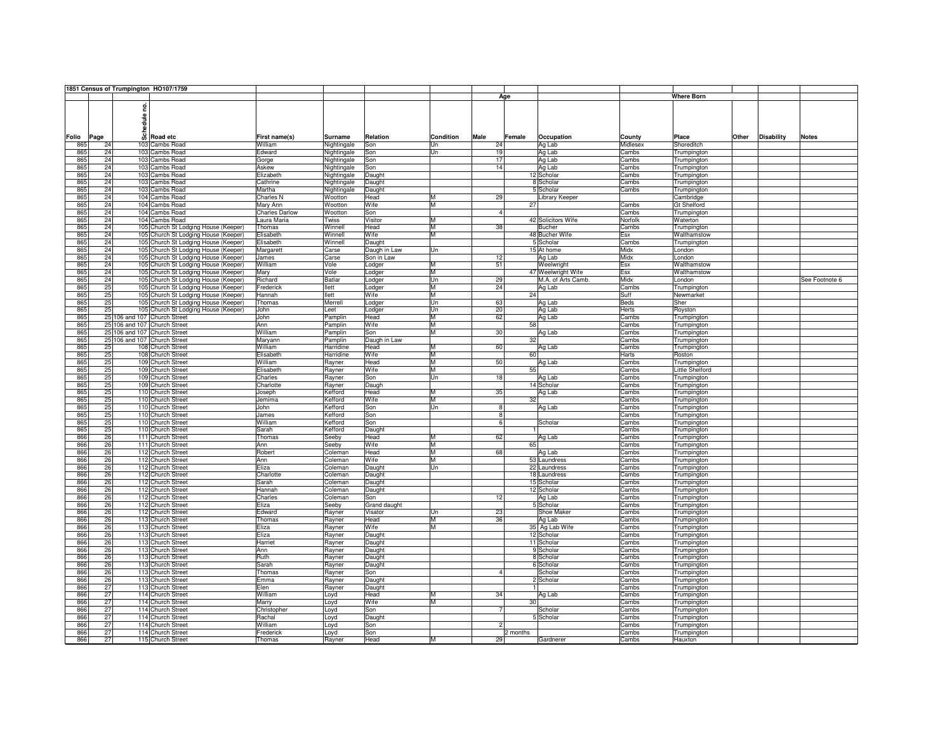|       |      | 1851 Census of Trumpington HO107/1759 |                       |                |              |                  |                |                      |          |                   |       |                   |                |
|-------|------|---------------------------------------|-----------------------|----------------|--------------|------------------|----------------|----------------------|----------|-------------------|-------|-------------------|----------------|
|       |      |                                       |                       |                |              |                  |                | Age                  |          | <b>Where Born</b> |       |                   |                |
|       |      |                                       |                       |                |              |                  |                |                      |          |                   |       |                   |                |
|       |      | 혿                                     |                       |                |              |                  |                |                      |          |                   |       |                   |                |
|       |      |                                       |                       |                |              |                  |                |                      |          |                   |       |                   |                |
|       |      | edule i                               |                       |                |              |                  |                |                      |          |                   |       |                   |                |
|       |      |                                       |                       |                |              |                  |                |                      |          |                   |       |                   |                |
|       |      | ន្លឹ                                  |                       |                |              |                  |                |                      |          |                   |       |                   |                |
| Folio | Page | Road etc                              | First name(s)         | <b>Surname</b> | Relation     | <b>Condition</b> | Male           | Female<br>Occupation | County   | Place             | Other | <b>Disability</b> | <b>Notes</b>   |
| 865   | 24   | 103 Cambs Road                        | William               | Nightingale    | Son          | Un               | 24             | Ag Lab               | Midlesex | Shoreditch        |       |                   |                |
| 865   | 24   | 103 Cambs Road                        | Edward                | Nightingale    | Son          | Un               | 19             | Ag Lab               | Cambs    | Trumpington       |       |                   |                |
| 865   | 24   | 103 Cambs Road                        | Gorge                 | Nightingale    | Son          |                  | 17             | Ag Lab               | Cambs    | Trumpington       |       |                   |                |
| 865   | 24   | 103 Cambs Road                        | Askew                 | Nightingale    | Son          |                  | 14             | Ag Lab               | Cambs    | Trumpington       |       |                   |                |
| 865   | 24   | 103 Cambs Road                        | Elizabeth             | Nightingale    | Daught       |                  |                | 12 Scholar           | Cambs    | Trumpington       |       |                   |                |
| 865   | 24   | 103 Cambs Road                        | Cathrine              | Nightingale    | Daught       |                  |                | 8 Scholar            | Cambs    | Trumpington       |       |                   |                |
| 865   | 24   | 103 Cambs Road                        | Martha                |                |              |                  |                | 5 Scholar            | Cambs    |                   |       |                   |                |
|       |      |                                       |                       | Nightingale    | Daught       |                  |                |                      |          | Trumpington       |       |                   |                |
| 865   | 24   | 104 Cambs Road                        | <b>Charles N</b>      | Wootton        | Head         | M                | 29             | Library Keeper       |          | Cambridge         |       |                   |                |
| 865   | 24   | 104 Cambs Road                        | Mary Ann              | Wootton        | Wife         | M                |                | 27                   | Cambs    | Gt Shelford       |       |                   |                |
| 865   | 24   | 104 Cambs Road                        | <b>Charles Darlow</b> | Wootton        | Son          |                  | $\overline{4}$ |                      | Cambs    | Trumpington       |       |                   |                |
| 865   | 24   | 104 Cambs Road                        | Laura Maria           | Twiss          | Visitor      | M                |                | 42 Solicitors Wife   | Norfolk  | Waterton          |       |                   |                |
| 865   | 24   | 105 Church St Lodging House (Keeper)  | Thomas                | Winnell        | Head         | M                | 38             | <b>Bucher</b>        | Cambs    | Trumpington       |       |                   |                |
| 865   | 24   | 105 Church St Lodging House (Keeper)  | Elisabeth             | Winnell        | Wife         | M                |                | 48 Bucher Wife       | Esx      | Walthamstow       |       |                   |                |
| 865   | 24   | 105 Church St Lodging House (Keeper)  | Elisabeth             | Winnell        | Daught       |                  |                | 5 Scholar            | Cambs    | Trumpington       |       |                   |                |
| 865   | 24   | 105 Church St Lodging House (Keeper)  | Margarett             | Carse          | Daugh in Law | Un               |                | 15 At home           | Midx     | London            |       |                   |                |
|       |      |                                       |                       |                |              |                  |                |                      |          |                   |       |                   |                |
| 865   | 24   | 105 Church St Lodging House (Keeper)  | James                 | Carse          | Son in Law   |                  | 12             | Ag Lab               | Midx     | London            |       |                   |                |
| 865   | 24   | 105 Church St Lodging House (Keeper)  | William               | Vole           | Lodger       | M                | 51             | Weelwright           | Esx      | Walthamstow       |       |                   |                |
| 865   | 24   | 105 Church St Lodging House (Keeper)  | Mary                  | Vole           | Lodger       | M                |                | 47 Weelwright Wife   | Esx      | Walthamstow       |       |                   |                |
| 865   | 24   | 105 Church St Lodging House (Keeper)  | Richard               | <b>Batlar</b>  | Lodger       | lUn              | 29             | M.A. of Arts Camb.   | Midx     | London            |       |                   | See Footnote 6 |
| 865   | 25   | 105 Church St Lodging House (Keeper)  | Frederick             | llett          | Lodger       | M                | 24             | Ag Lab               | Cambs    | Trumpington       |       |                   |                |
| 865   | 25   | 105 Church St Lodging House (Keeper)  | Hannah                | llett          | Wife         | M                |                | 24                   | Suff     | Newmarket         |       |                   |                |
| 865   | 25   | 105 Church St Lodging House (Keeper)  | Thomas                | Merrell        | Lodger       | lUn              | 63             | Ag Lab               | Beds     | Sher              |       |                   |                |
| 865   | 25   | 105 Church St Lodging House (Keeper)  | <b>John</b>           | Leet           |              | lUn              | 20             | Ag Lab               |          |                   |       |                   |                |
|       |      |                                       |                       |                | Lodger       |                  |                |                      | Herts    | Royston           |       |                   |                |
| 865   |      | 25 106 and 107 Church Street          | John                  | Pamplin        | Head         | M                | 62             | Ag Lab               | Cambs    | Trumpington       |       |                   |                |
| 865   |      | 25 106 and 107 Church Street          | Ann                   | Pamplin        | Wife         | ĪМ               |                | 58                   | Cambs    | Trumpington       |       |                   |                |
| 865   |      | 25 106 and 107 Church Street          | William               | Pamplin        | Son          | ĪМ               | 30             | Ag Lab               | Cambs    | Trumpington       |       |                   |                |
| 865   |      | 25 106 and 107 Church Street          | Maryann               | Pamplin        | Daugh in Law |                  |                | 32                   | Cambs    | Trumpington       |       |                   |                |
| 865   | 25   | 108 Church Street                     | William               | Harridine      | Head         | ĪМ               | 60             | Ag Lab               | Cambs    | Trumpington       |       |                   |                |
| 865   | 25   | 108 Church Street                     | Elisabeth             | Harridine      | Wife         | ĪМ               |                | 60                   | Harts    | Roston            |       |                   |                |
|       | 25   |                                       | William               |                |              | ĪМ               | 50             |                      |          |                   |       |                   |                |
| 865   |      | 109 Church Street                     |                       | Rayner         | Head         |                  |                | Ag Lab               | Cambs    | Trumpington       |       |                   |                |
| 865   | 25   | 109 Church Street                     | Elisabeth             | Rayner         | Wife         | M                |                | 55                   | Cambs    | Little Shelford   |       |                   |                |
| 865   | 25   | 109 Church Street                     | Charles               | Rayner         | Son          | Un               | 18             | Ag Lab               | Cambs    | Trumpington       |       |                   |                |
| 865   | 25   | 109 Church Street                     | Charlotte             | Rayner         | Daugh        |                  |                | 14 Scholar           | Cambs    | Trumpington       |       |                   |                |
| 865   | 25   | 110 Church Street                     | Joseph                | Kefford        | Head         | M                | 35             | Ag Lab               | Cambs    | Trumpington       |       |                   |                |
| 865   | 25   | 110 Church Street                     | Jemima                | Kefford        | Wife         | ĪМ               |                | 32                   | Cambs    | Trumpington       |       |                   |                |
| 865   | 25   | 110 Church Street                     | John                  | Kefford        | Son          | lUn              | $\overline{8}$ | Ag Lab               | Cambs    | Trumpington       |       |                   |                |
| 865   | 25   | 110 Church Street                     | James                 | Kefford        | Son          |                  | $\overline{8}$ |                      | Cambs    | Trumpington       |       |                   |                |
| 865   | 25   |                                       | William               | Kefford        | Son          |                  | 6              | Scholar              |          |                   |       |                   |                |
|       |      | 110 Church Street                     |                       |                |              |                  |                |                      | Cambs    | Trumpington       |       |                   |                |
| 865   | 25   | 110 Church Street                     | Sarah                 | Kefford        | Daught       |                  |                |                      | Cambs    | Trumpington       |       |                   |                |
| 866   | 26   | 111 Church Street                     | Thomas                | Seeby          | Head         | ĪМ               | 62             | Ag Lab               | Cambs    | Trumpington       |       |                   |                |
| 866   | 26   | 111 Church Street                     | Ann                   | Seeby          | Wife         | ĪМ               |                | 65                   | Cambs    | Trumpington       |       |                   |                |
| 866   | 26   | 112 Church Street                     | Robert                | Coleman        | Head         | M                | 68             | Ag Lab               | Cambs    | Trumpington       |       |                   |                |
| 866   | 26   | 112 Church Street                     | Ann                   | Coleman        | Wife         | M                |                | 53 Laundress         | Cambs    | Trumpington       |       |                   |                |
| 866   | 26   | 112 Church Street                     | Eliza                 | Coleman        | Daught       | lUn              |                | 22 Laundress         | Cambs    | Trumpington       |       |                   |                |
| 866   | 26   | 112 Church Street                     |                       |                |              |                  |                | 18 Laundress         | Cambs    |                   |       |                   |                |
|       |      |                                       | Charlotte             | Coleman        | Daught       |                  |                |                      |          | Trumpington       |       |                   |                |
| 866   | 26   | 112 Church Street                     | Sarah                 | Coleman        | Daught       |                  |                | 15 Scholar           | Cambs    | Trumpington       |       |                   |                |
| 866   | 26   | 112 Church Street                     | Hannah                | Coleman        | Daught       |                  |                | 12 Scholar           | Cambs    | Trumpington       |       |                   |                |
| 866   | 26   | 112 Church Street                     | Charles               | Coleman        | Son          |                  | 12             | Ag Lab               | Cambs    | Trumpington       |       |                   |                |
| 866   | 26   | 112 Church Street                     | Eliza                 | Seeby          | Grand daught |                  |                | 5 Scholar            | Cambs    | Trumpington       |       |                   |                |
| 866   | 26   | 112 Church Street                     | Edward                | Rayner         | Visator      | Un               | 23             | Shoe Maker           | Cambs    | Trumpington       |       |                   |                |
| 866   | 26   | 113 Church Street                     | Thomas                | Rayner         | Head         | M                | 36             | Ag Lab               | Cambs    | Trumpington       |       |                   |                |
| 866   | 26   | 113 Church Street                     | Eliza                 | Rayner         | Wife         | M                |                | 35 Ag Lab Wife       | Cambs    | Trumpington       |       |                   |                |
|       | 26   | 113 Church Street                     | Eliza                 |                |              |                  |                | 12 Scholar           |          |                   |       |                   |                |
| 866   |      |                                       |                       | Rayner         | Daught       |                  |                |                      | Cambs    | Trumpington       |       |                   |                |
| 866   | 26   | 113 Church Street                     | Harriet               | Rayner         | Daught       |                  |                | 11 Scholar           | Cambs    | Trumpington       |       |                   |                |
| 866   | 26   | 113 Church Street                     | Ann                   | Rayner         | Daught       |                  |                | 9 Scholar            | Cambs    | Trumpington       |       |                   |                |
| 866   | 26   | 113 Church Street                     | Ruth                  | Rayner         | Daught       |                  |                | 8 Scholar            | Cambs    | Trumpington       |       |                   |                |
| 866   | 26   | 113 Church Street                     | Sarah                 | Rayner         | Daught       |                  |                | 6 Scholar            | Cambs    | Trumpington       |       |                   |                |
| 866   | 26   | 113 Church Street                     | Thomas                | Rayner         | Son          |                  | $\Delta$       | Scholar              | Cambs    | Trumpington       |       |                   |                |
| 866   | 26   | 113 Church Street                     | Emma                  | Rayner         | Daught       |                  |                | 2 Scholar            | Cambs    | Trumpington       |       |                   |                |
| 866   | 27   | 113 Church Street                     |                       |                |              |                  |                |                      |          |                   |       |                   |                |
|       |      |                                       | Elen                  | Rayner         | Daught       |                  |                |                      | Cambs    | Trumpington       |       |                   |                |
| 866   | 27   | 114 Church Street                     | William               | Loyd           | Head         | M                | 34             | Ag Lab               | Cambs    | Trumpington       |       |                   |                |
| 866   | 27   | 114 Church Street                     | Marry                 | Loyd           | Wife         | M                |                | 30                   | Cambs    | Trumpington       |       |                   |                |
| 866   | 27   | 114 Church Street                     | Christopher           | Loyd           | Son          |                  | 7              | Scholar              | Cambs    | Trumpington       |       |                   |                |
| 866   | 27   | 114 Church Street                     | Rachal                | Loyd           | Daught       |                  |                | 5 Scholar            | Cambs    | Trumpington       |       |                   |                |
| 866   | 27   | 114 Church Street                     | William               | Loyd           | Son          |                  | $\mathfrak{p}$ |                      | Cambs    | Trumpington       |       |                   |                |
| 866   | 27   | 114 Church Street                     | Frederick             | Loyd           | Son          |                  |                | 2 months             | Cambs    | Trumpington       |       |                   |                |
| 866   | 27   | 115 Church Street                     |                       |                |              | M                | 29             |                      |          |                   |       |                   |                |
|       |      |                                       | Thomas                | Rayner         | Head         |                  |                | Gardnerer            | Cambs    | Hauxton           |       |                   |                |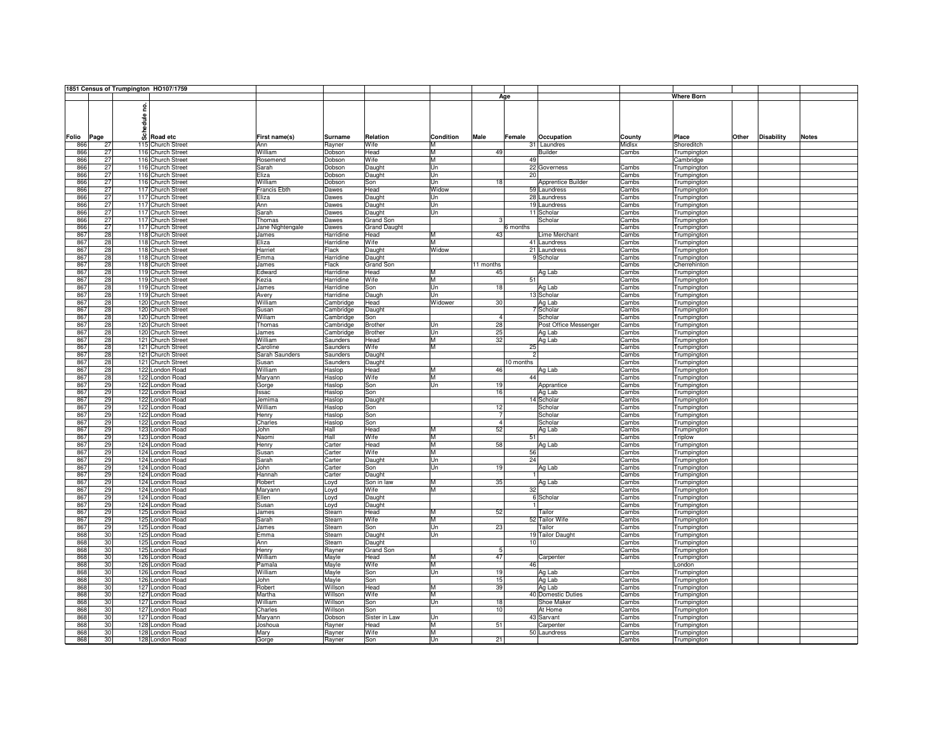|       |     |      |       | 1851 Census of Trumpington HO107/1759 |                     |                |                     |                  |                |           |                       |        |                   |       |                   |              |
|-------|-----|------|-------|---------------------------------------|---------------------|----------------|---------------------|------------------|----------------|-----------|-----------------------|--------|-------------------|-------|-------------------|--------------|
|       |     |      |       |                                       |                     |                |                     |                  |                | Age       |                       |        | <b>Where Born</b> |       |                   |              |
|       |     |      |       |                                       |                     |                |                     |                  |                |           |                       |        |                   |       |                   |              |
|       |     |      | ဠ     |                                       |                     |                |                     |                  |                |           |                       |        |                   |       |                   |              |
|       |     |      |       |                                       |                     |                |                     |                  |                |           |                       |        |                   |       |                   |              |
|       |     |      | edule |                                       |                     |                |                     |                  |                |           |                       |        |                   |       |                   |              |
|       |     |      |       |                                       |                     |                |                     |                  |                |           |                       |        |                   |       |                   |              |
|       |     |      | ន៏    |                                       |                     |                |                     |                  |                |           |                       |        |                   |       |                   |              |
| Folio |     | Page |       | Road etc                              | First name(s)       | <b>Surname</b> | Relation            | <b>Condition</b> | Male           | Female    | Occupation            | County | Place             | Other | <b>Disability</b> | <b>Notes</b> |
|       | 866 | 27   |       | 115 Church Street                     | Ann                 | Rayner         | Wife                | M                |                |           | 31 Laundres           | Midlsx | Shoreditch        |       |                   |              |
|       | 866 | 27   |       | 116 Church Street                     | William             | Dobson         | Head                | M                | 49             |           | Builder               | Cambs  | Trumpington       |       |                   |              |
|       | 866 | 27   |       | 116 Church Street                     | Rosemend            | Dobson         | Wife                | М                |                | 49        |                       |        | Cambridge         |       |                   |              |
|       | 866 | 27   |       | 116 Church Street                     | Sarah               | Dobson         | Daught              | Un               |                |           | 22 Governess          | Cambs  | Trumpington       |       |                   |              |
|       | 866 | 27   |       | 116 Church Street                     | Eliza               | Dobson         | Daught              | Un               |                | 20        |                       | Cambs  | Trumpington       |       |                   |              |
|       | 866 | 27   |       | 116 Church Street                     | William             | Dobson         | Son                 | Un               | 18             |           | Apprentice Builder    | Cambs  | Trumpington       |       |                   |              |
|       | 866 | 27   |       | 117 Church Street                     | <b>Francis Ebth</b> | Dawes          | Head                | Widow            |                |           | 59 Laundress          | Cambs  |                   |       |                   |              |
|       |     |      |       |                                       |                     |                |                     |                  |                |           |                       |        | Trumpington       |       |                   |              |
|       | 866 | 27   |       | 117 Church Street                     | Eliza               | Dawes          | Daught              | Un               |                |           | 28 Laundress          | Cambs  | Trumpington       |       |                   |              |
|       | 866 | 27   |       | 117 Church Street                     | Ann                 | Dawes          | Daught              | Un               |                |           | 19 Laundress          | Cambs  | Trumpington       |       |                   |              |
|       | 866 | 27   |       | 117 Church Street                     | Sarah               | Dawes          | Daught              | Un               |                |           | 11 Scholar            | Cambs  | Trumpington       |       |                   |              |
|       | 866 | 27   |       | 117 Church Street                     | Thomas              | Dawes          | Grand Son           |                  |                |           | Scholar               | Cambs  | Trumpington       |       |                   |              |
|       | 866 | 27   |       | 117 Church Street                     | Jane Nightengale    | Dawes          | <b>Grand Daught</b> |                  |                | 6 months  |                       | Cambs  | Trumpington       |       |                   |              |
|       | 867 | 28   |       | 118 Church Street                     | James               | Harridine      | Head                | М                | 43             |           | Lime Merchant         | Cambs  | Trumpington       |       |                   |              |
|       | 867 | 28   |       | 118 Church Street                     | Eliza               | Harridine      | Wife                | М                |                |           | 41 Laundress          | Cambs  | Trumpington       |       |                   |              |
|       | 867 | 28   |       | 118 Church Street                     | Harriet             | Flack          | Daught              | Widow            |                |           | 21 Laundress          | Cambs  | Trumpington       |       |                   |              |
|       |     |      |       |                                       |                     |                |                     |                  |                |           |                       |        |                   |       |                   |              |
|       | 867 | 28   |       | 118 Church Street                     | Emma                | Harridine      | Daught              |                  |                |           | 9 Scholar             | Cambs  | Trumpington       |       |                   |              |
|       | 867 | 28   |       | 118 Church Street                     | James               | Flack          | Grand Son           |                  | 11 months      |           |                       | Cambs  | Cherrehinton      |       |                   |              |
|       | 867 | 28   |       | 119 Church Street                     | Edward              | Harridine      | Head                | М                | 45             |           | Ag Lab                | Cambs  | Trumpington       |       |                   |              |
|       | 867 | 28   |       | 119 Church Street                     | Kezia               | Harridine      | Wife                | M                |                | 51        |                       | Cambs  | Trumpington       |       |                   |              |
|       | 867 | 28   |       | 119 Church Street                     | James               | Harridine      | Son                 | Un               | 18             |           | Ag Lab                | Cambs  | Trumpington       |       |                   |              |
|       | 867 | 28   |       | 119 Church Street                     | Avery               | Harridine      | Daugh               | Un               |                |           | 13 Scholar            | Cambs  | Trumpington       |       |                   |              |
|       | 867 | 28   |       | 120 Church Street                     | William             |                | Head                | Widower          | 30             |           | Ag Lab                | Cambs  | Trumpington       |       |                   |              |
|       | 867 | 28   |       | 120 Church Street                     | Susan               | Cambridge      |                     |                  |                |           | 7 Scholar             | Cambs  |                   |       |                   |              |
|       |     |      |       |                                       |                     | Cambridge      | Daught              |                  |                |           |                       |        | Trumpington       |       |                   |              |
|       | 867 | 28   |       | 120 Church Street                     | Wiliam              | Cambridge      | Son                 |                  | $\overline{4}$ |           | Scholar               | Cambs  | Trumpington       |       |                   |              |
|       | 867 | 28   |       | 120 Church Street                     | Thomas              | Cambridge      | Brother             | Un               | 28             |           | Post Office Messenger | Cambs  | Trumpington       |       |                   |              |
|       | 867 | 28   |       | 120 Church Street                     | James               | Cambridge      | Brother             | Un               | 25             |           | Ag Lab                | Cambs  | Trumpington       |       |                   |              |
|       | 867 | 28   |       | 121 Church Street                     | William             | Saunders       | Head                | M                | 32             |           | Ag Lab                | Cambs  | Trumpington       |       |                   |              |
|       | 867 | 28   |       | 121 Church Street                     | Caroline            | Saunders       | Wife                | м                |                | 25        |                       | Cambs  | Trumpington       |       |                   |              |
|       | 867 | 28   |       | 121 Church Street                     | Sarah Saunders      | Saunders       | Daught              |                  |                |           |                       | Cambs  | Trumpington       |       |                   |              |
|       |     |      |       |                                       |                     |                |                     |                  |                | 10 months |                       |        |                   |       |                   |              |
|       | 867 | 28   |       | 121 Church Street                     | Susan               | Saunders       | Daught              |                  |                |           |                       | Cambs  | Trumpington       |       |                   |              |
|       | 867 | 28   |       | 122 London Road                       | William             | Haslop         | Head                | M                | 46             |           | Ag Lab                | Cambs  | Trumpington       |       |                   |              |
|       | 867 | 28   |       | 122 London Road                       | Maryann             | Haslop         | Wife                | M                |                | 44        |                       | Cambs  | Trumpington       |       |                   |              |
|       | 867 | 29   |       | 122 London Road                       | Gorge               | Haslop         | Son                 | Un               | 19             |           | Apprantice            | Cambs  | Trumpington       |       |                   |              |
|       | 867 | 29   |       | 122 London Road                       | Issac               | Haslop         | Son                 |                  | 16             |           | Ag Lab                | Cambs  | Trumpington       |       |                   |              |
|       | 867 | 29   |       | 122 London Road                       | Jemima              | Haslop         | Daught              |                  |                |           | 14 Scholar            | Cambs  | Trumpington       |       |                   |              |
|       | 867 | 29   |       | 122 London Road                       | William             | Haslop         | Son                 |                  | 12             |           | Scholar               | Cambs  | Trumpington       |       |                   |              |
|       | 867 | 29   |       | 122 London Road                       | Henry               | Haslop         | Son                 |                  |                |           | Scholar               | Cambs  | Trumpington       |       |                   |              |
|       | 867 | 29   |       | 122 London Road                       | Charles             | Haslop         |                     |                  | $\overline{4}$ |           | Scholar               |        |                   |       |                   |              |
|       |     |      |       |                                       |                     |                | Son                 |                  |                |           |                       | Cambs  | Trumpington       |       |                   |              |
|       | 867 | 29   |       | 123 London Road                       | John                | Hall           | Head                | М                | 52             |           | Ag Lab                | Cambs  | Trumpington       |       |                   |              |
|       | 867 | 29   |       | 123 London Road                       | Naomi               | Hall           | Wife                | M                |                | 51        |                       | Cambs  | <b>Triplow</b>    |       |                   |              |
|       | 867 | 29   |       | 124 London Road                       | Henry               | Carter         | Head                | М                | 58             |           | Ag Lab                | Cambs  | Trumpington       |       |                   |              |
|       | 867 | 29   |       | 124 London Road                       | Susan               | Carter         | Wife                | М                |                | 56        |                       | Cambs  | Trumpington       |       |                   |              |
|       | 867 | 29   |       | 124 London Road                       | Sarah               | Carter         | Daught              | Un               |                | 24        |                       | Cambs  | Trumpington       |       |                   |              |
|       | 867 | 29   |       | 124 London Road                       | John                | Carter         | Son                 | Un               | 19             |           | Ag Lab                | Cambs  | Trumpington       |       |                   |              |
|       | 867 | 29   |       | 124 London Road                       | Hannah              | Carter         | Daught              |                  |                |           |                       | Cambs  | Trumpington       |       |                   |              |
|       | 867 | 29   |       |                                       |                     |                |                     | М                | 35             |           | Ag Lab                |        |                   |       |                   |              |
|       |     |      |       | 124 London Road                       | Robert              | Loyd           | Son in law          |                  |                |           |                       | Cambs  | Trumpington       |       |                   |              |
|       | 867 | 29   |       | 124 London Road                       | Maryann             | Loyd           | Wife                | м                |                | 32        |                       | Cambs  | Trumpington       |       |                   |              |
|       | 867 | 29   |       | 124 London Road                       | Ellen               | Loyd           | Daught              |                  |                |           | 6 Scholar             | Cambs  | Trumpington       |       |                   |              |
|       | 867 | 29   |       | 124 London Road                       | Susan               | Loyd           | Daught              |                  |                |           |                       | Cambs  | Trumpington       |       |                   |              |
|       | 867 | 29   |       | 125 London Road                       | James               | Stearn         | Head                | M                | 52             |           | Tailor                | Cambs  | Trumpington       |       |                   |              |
|       | 867 | 29   |       | 125 London Road                       | Sarah               | Stearn         | Wife                | М                |                |           | 52 Tailor Wife        | Cambs  | Trumpington       |       |                   |              |
|       | 867 | 29   |       | 125 London Road                       | James               | Stearn         | Son                 | Un               | 23             |           | Tailor                | Cambs  | Trumpington       |       |                   |              |
|       | 868 | 30   |       | 125 London Road                       | Emma                | Stearn         |                     | Un               |                |           | 19 Tailor Daught      | Cambs  | Trumpington       |       |                   |              |
|       | 868 | 30   |       |                                       |                     |                | Daught              |                  |                | 10        |                       |        |                   |       |                   |              |
|       |     |      |       | 125 London Road                       | Ann                 | Stearn         | Daught              |                  |                |           |                       | Cambs  | Trumpington       |       |                   |              |
|       | 868 | 30   |       | 125 London Road                       | Henry               | Rayner         | Grand Son           |                  | $\overline{5}$ |           |                       | Cambs  | Trumpington       |       |                   |              |
|       | 868 | 30   |       | 126 London Road                       | William             | Mayle          | Head                | M                | 47             |           | Carpenter             | Cambs  | Trumpington       |       |                   |              |
|       | 868 | 30   |       | 126 London Road                       | Pamala              | Mayle          | Wife                | М                |                | 46        |                       |        | London            |       |                   |              |
|       | 868 | 30   |       | 126 London Road                       | William             | Mayle          | Son                 | Un               | 19             |           | Ag Lab                | Cambs  | Trumpington       |       |                   |              |
|       | 868 | 30   |       | 126 London Road                       | John                | Mayle          | Son                 |                  | 15             |           | Ag Lab                | Cambs  | Trumpington       |       |                   |              |
|       | 868 | 30   |       | 127 London Road                       | Robert              | Willson        | Head                | М                | 39             |           | Ag Lab                | Cambs  | Trumpington       |       |                   |              |
|       | 868 | 30   |       | 127 London Road                       | Martha              | Willson        | Wife                | M                |                |           | 40 Domestic Duties    | Cambs  | Trumpington       |       |                   |              |
|       | 868 | 30   |       |                                       |                     |                |                     | Un               | 18             |           | Shoe Maker            |        |                   |       |                   |              |
|       |     |      |       | 127 London Road                       | William             | Willson        | Son                 |                  |                |           |                       | Cambs  | Trumpington       |       |                   |              |
|       | 868 | 30   |       | 127 London Road                       | Charles             | Willson        | Son                 |                  | 10             |           | At Home               | Cambs  | Trumpington       |       |                   |              |
|       | 868 | 30   |       | 127 London Road                       | Maryann             | Dobson         | Sister in Law       | Un               |                |           | 43 Sarvant            | Cambs  | Trumpington       |       |                   |              |
|       | 868 | 30   |       | 128 London Road                       | Joshoua             | Rayner         | Head                | М                | 51             |           | Carpenter             | Cambs  | Trumpington       |       |                   |              |
|       | 868 | 30   |       | 128 London Road                       | Mary                | Rayner         | Wife                | М                |                |           | 50 Laundress          | Cambs  | Trumpington       |       |                   |              |
|       | 868 | 30   |       | 128 London Road                       | Gorge               | Rayner         | Son                 | Un               | 21             |           |                       | Cambs  | Trumpington       |       |                   |              |
|       |     |      |       |                                       |                     |                |                     |                  |                |           |                       |        |                   |       |                   |              |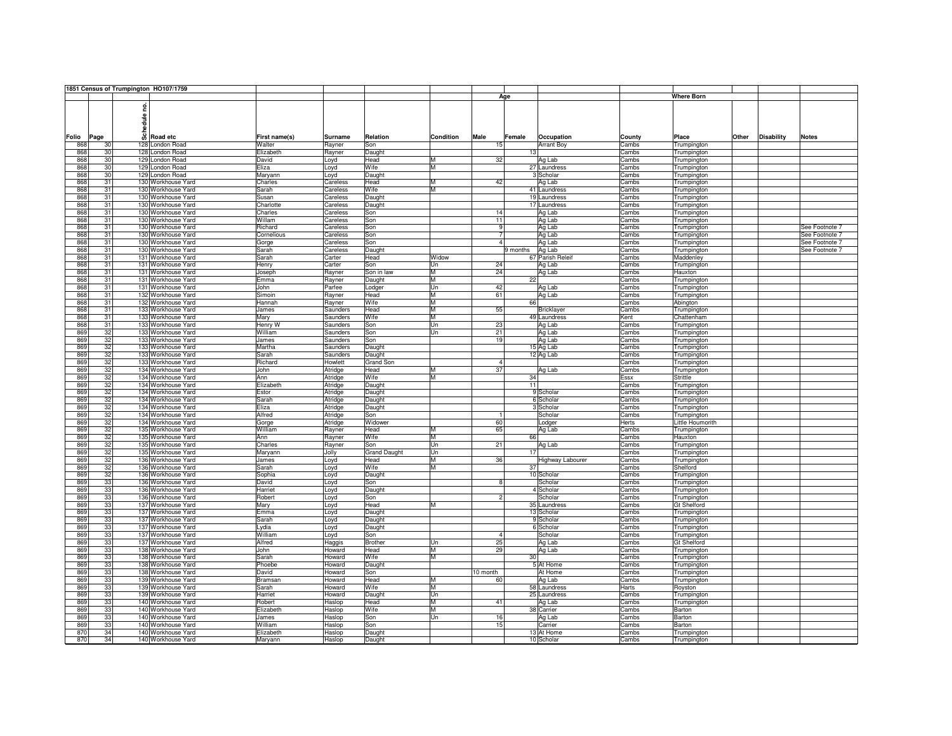|       |      |    |       | 1851 Census of Trumpington HO107/1759 |               |                |                     |           |                 |          |                   |        |                    |       |                   |                |
|-------|------|----|-------|---------------------------------------|---------------|----------------|---------------------|-----------|-----------------|----------|-------------------|--------|--------------------|-------|-------------------|----------------|
|       |      |    |       |                                       |               |                |                     |           |                 | Age      |                   |        | <b>Where Born</b>  |       |                   |                |
|       |      |    |       |                                       |               |                |                     |           |                 |          |                   |        |                    |       |                   |                |
|       |      |    | ဠ     |                                       |               |                |                     |           |                 |          |                   |        |                    |       |                   |                |
|       |      |    |       |                                       |               |                |                     |           |                 |          |                   |        |                    |       |                   |                |
|       |      |    | edule |                                       |               |                |                     |           |                 |          |                   |        |                    |       |                   |                |
|       |      |    |       |                                       |               |                |                     |           |                 |          |                   |        |                    |       |                   |                |
| Folio | Page |    | ន៏    | Road etc                              | First name(s) | <b>Surname</b> | Relation            | Condition | Male            | Female   | Occupation        | County | Place              | Other | <b>Disability</b> | <b>Notes</b>   |
|       |      |    |       |                                       |               |                |                     |           |                 |          |                   |        |                    |       |                   |                |
| 868   |      | 30 |       | 128 London Road                       | Walter        | Rayner         | Son                 |           | 15              |          | <b>Arrant Boy</b> | Cambs  | Trumpington        |       |                   |                |
| 868   |      | 30 |       | 128 London Road                       | Elizabeth     | Rayner         | Daught              |           |                 | 13       |                   | Cambs  | Trumpington        |       |                   |                |
| 868   |      | 30 |       | 129 London Road                       | David         | Loyd           | Head                | М         | 32              |          | Ag Lab            | Cambs  | Trumpington        |       |                   |                |
| 868   |      | 30 |       | 129 London Road                       | Eliza         | Loyd           | Wife                | M         |                 |          | 27 Laundress      | Cambs  | Trumpington        |       |                   |                |
| 868   |      | 30 |       | 129 London Road                       | Maryann       | Loyd           | Daught              |           |                 |          | 3 Scholar         | Cambs  | Trumpington        |       |                   |                |
| 868   |      | 31 |       | 130 Workhouse Yard                    | Charles       | Careless       | Head                | M         | 42              |          | Ag Lab            | Cambs  | Trumpington        |       |                   |                |
| 868   |      | 31 |       | 130 Workhouse Yard                    | Sarah         | Careless       | Wife                | M         |                 |          | 41 Laundress      | Cambs  | Trumpington        |       |                   |                |
| 868   |      | 31 |       | 130 Workhouse Yard                    | Susan         | Careless       | Daught              |           |                 |          | 19 Laundress      | Cambs  | Trumpington        |       |                   |                |
| 868   |      | 31 |       | 130 Workhouse Yard                    | Charlotte     | Careless       | Daught              |           |                 |          | 17 Laundress      | Cambs  | Trumpington        |       |                   |                |
| 868   |      | 31 |       | 130 Workhouse Yard                    | Charles       |                | Son                 |           | 14              |          | Ag Lab            |        |                    |       |                   |                |
|       |      |    |       |                                       |               | Careless       |                     |           |                 |          |                   | Cambs  | Trumpington        |       |                   |                |
| 868   |      | 31 |       | 130 Workhouse Yard                    | Willam        | Careless       | Son                 |           | $\overline{11}$ |          | Ag Lab            | Cambs  | Trumpington        |       |                   |                |
| 868   |      | 31 |       | 130 Workhouse Yard                    | Richard       | Careless       | Son                 |           | 9               |          | Ag Lab            | Cambs  | Trumpington        |       |                   | See Footnote 7 |
| 868   |      | 31 |       | 130 Workhouse Yard                    | Cornelious    | Careless       | Son                 |           |                 |          | Ag Lab            | Cambs  | Trumpington        |       |                   | See Footnote 7 |
| 868   |      | 31 |       | 130 Workhouse Yard                    | Gorge         | Careless       | Son                 |           |                 |          | Ag Lab            | Cambs  | Trumpington        |       |                   | See Footnote 7 |
| 868   |      | 31 |       | 130 Workhouse Yard                    | Sarah         | Careless       | Daught              |           |                 | 9 months | Ag Lab            | Cambs  | Trumpington        |       |                   | See Footnote 7 |
| 868   |      | 31 |       | 131 Workhouse Yard                    | Sarah         | Carter         | Head                | Widow     |                 |          | 67 Parish Releif  | Cambs  | Maddenley          |       |                   |                |
| 868   |      | 31 |       | 131 Workhouse Yard                    | Henry         | Carter         | Son                 | Un        | 24              |          | Ag Lab            | Cambs  | Trumpington        |       |                   |                |
| 868   |      | 31 |       | 131 Workhouse Yard                    | Joseph        | Rayner         | Son in law          | М         | 24              |          | Ag Lab            | Cambs  | Hauxton            |       |                   |                |
| 868   |      | 31 |       | 131 Workhouse Yard                    | Emma          | Rayner         | Daught              | M         |                 | 22       |                   | Cambs  | Trumpington        |       |                   |                |
|       |      |    |       |                                       |               |                |                     | lln       |                 |          |                   |        |                    |       |                   |                |
| 868   |      | 31 |       | 131 Workhouse Yard                    | John          | Parfee         | Lodger              |           | 42              |          | Ag Lab            | Cambs  | Trumpington        |       |                   |                |
| 868   |      | 31 |       | 132 Workhouse Yard                    | Simoin        | Rayner         | Head                | M         | 61              |          | Ag Lab            | Cambs  | Trumpington        |       |                   |                |
| 868   |      | 31 |       | 132 Workhouse Yard                    | Hannah        | Rayner         | Wife                | М         |                 | 66       |                   | Cambs  | Abington           |       |                   |                |
| 868   |      | 31 |       | 133 Workhouse Yard                    | James         | Saunders       | Head                | М         | 55              |          | Bricklayer        | Cambs  | Trumpington        |       |                   |                |
| 868   |      | 31 |       | 133 Workhouse Yard                    | Mary          | Saunders       | Wife                | M         |                 |          | 49 Laundress      | Kent   | Chattenham         |       |                   |                |
| 868   |      | 31 |       | 133 Workhouse Yard                    | Henry W       | Saunders       | Son                 | Un        | 23              |          | Ag Lab            | Cambs  | Trumpington        |       |                   |                |
| 869   |      | 32 |       | 133 Workhouse Yard                    | William       | Saunders       | Son                 | Un        | 21              |          | Ag Lab            | Cambs  | Trumpington        |       |                   |                |
| 869   |      | 32 |       | 133 Workhouse Yard                    | James         | Saunders       | Son                 |           | 19              |          | Ag Lab            | Cambs  | Trumpington        |       |                   |                |
| 869   |      | 32 |       | 133 Workhouse Yard                    | Martha        | Saunders       | Daught              |           |                 |          | 15 Ag Lab         | Cambs  | Trumpington        |       |                   |                |
| 869   |      | 32 |       | 133 Workhouse Yard                    | Sarah         | Saunders       |                     |           |                 |          |                   |        |                    |       |                   |                |
|       |      |    |       |                                       |               |                | Daught              |           |                 |          | 12 Ag Lab         | Cambs  | Trumpington        |       |                   |                |
| 869   |      | 32 |       | 133 Workhouse Yard                    | Richard       | Howlett        | Grand Son           |           | $\overline{4}$  |          |                   | Cambs  | Trumpington        |       |                   |                |
| 869   |      | 32 |       | 134 Workhouse Yard                    | John          | Atridge        | Head                | M         | 37              |          | Ag Lab            | Cambs  | Trumpington        |       |                   |                |
| 869   |      | 32 |       | 134 Workhouse Yard                    | Ann           | Atridge        | Wife                | M         |                 | 34       |                   | Essx   | Strittle           |       |                   |                |
| 869   |      | 32 |       | 134 Workhouse Yard                    | Elizabeth     | Atridge        | Daught              |           |                 | 11       |                   | Cambs  | Trumpington        |       |                   |                |
| 869   |      | 32 |       | 134 Workhouse Yard                    | Estor         | Atridge        | Daught              |           |                 |          | 9 Scholar         | Cambs  | Trumpington        |       |                   |                |
| 869   |      | 32 |       | 134 Workhouse Yard                    | Sarah         | Atridge        | Daught              |           |                 |          | 6 Scholar         | Cambs  | Trumpington        |       |                   |                |
| 869   |      | 32 |       | 134 Workhouse Yard                    | Eliza         | Atridge        | Daught              |           |                 |          | 3 Scholar         | Cambs  | Trumpington        |       |                   |                |
| 869   |      | 32 |       | 134 Workhouse Yard                    | Alfred        | Atridge        | Son                 |           |                 |          | Scholar           | Cambs  | Trumpington        |       |                   |                |
| 869   |      | 32 |       | 134 Workhouse Yard                    | Gorge         | Atridge        | Widower             |           | 60              |          | Lodger            | Herts  | Little Houmorith   |       |                   |                |
| 869   |      | 32 |       |                                       | William       |                |                     | M         | 65              |          |                   |        |                    |       |                   |                |
|       |      |    |       | 135 Workhouse Yard                    |               | Rayner         | Head                |           |                 |          | Ag Lab            | Cambs  | Trumpington        |       |                   |                |
| 869   |      | 32 |       | 135 Workhouse Yard                    | Ann           | Rayner         | Wife                | М         |                 | 66       |                   | Cambs  | Hauxton            |       |                   |                |
| 869   |      | 32 |       | 135 Workhouse Yard                    | Charles       | Rayner         | Son                 | Un        | 21              |          | Ag Lab            | Cambs  | Trumpington        |       |                   |                |
| 869   |      | 32 |       | 135 Workhouse Yard                    | Maryann       | Jolly          | <b>Grand Daught</b> | Un        |                 | 17       |                   | Cambs  | Trumpington        |       |                   |                |
| 869   |      | 32 |       | 136 Workhouse Yard                    | James         | Loyd           | Head                | М         | 36              |          | Highway Labourer  | Cambs  | Trumpington        |       |                   |                |
| 869   |      | 32 |       | 136 Workhouse Yard                    | Sarah         | Loyd           | Wife                | м         |                 | 37       |                   | Cambs  | Shelford           |       |                   |                |
| 869   |      | 32 |       | 136 Workhouse Yard                    | Sophia        | Loyd           | Daught              |           |                 |          | 10 Scholar        | Cambs  | Trumpington        |       |                   |                |
| 869   |      | 33 |       | 136 Workhouse Yard                    | David         | Loyd           | Son                 |           | $\mathbf{R}$    |          | Scholar           | Cambs  | Trumpington        |       |                   |                |
| 869   |      | 33 |       | 136 Workhouse Yard                    | Harriet       | Loyd           | Daught              |           |                 |          | 4 Scholar         | Cambs  | Trumpington        |       |                   |                |
| 869   |      | 33 |       | 136 Workhouse Yard                    | Robert        | Loyd           | Son                 |           | 2               |          | Scholar           | Cambs  | Trumpington        |       |                   |                |
| 869   |      | 33 |       | 137 Workhouse Yard                    | Mary          | Loyd           | Head                | М         |                 |          | 35 Laundress      | Cambs  | <b>Gt Shelford</b> |       |                   |                |
|       |      |    |       |                                       |               |                |                     |           |                 |          |                   |        |                    |       |                   |                |
| 869   |      | 33 |       | 137 Workhouse Yard                    | Emma          | Loyd           | Daught              |           |                 |          | 13 Scholar        | Cambs  | Trumpington        |       |                   |                |
| 869   |      | 33 |       | 137 Workhouse Yard                    | Sarah         | Loyd           | Daught              |           |                 |          | 9 Scholar         | Cambs  | Trumpington        |       |                   |                |
| 869   |      | 33 |       | 137 Workhouse Yard                    | Lydia         | Loyd           | Daught              |           |                 |          | 6 Scholar         | Cambs  | Trumpington        |       |                   |                |
| 869   |      | 33 |       | 137 Workhouse Yard                    | William       | Loyd           | Son                 |           | 4               |          | Scholar           | Cambs  | Trumpington        |       |                   |                |
| 869   |      | 33 |       | 137 Workhouse Yard                    | Alfred        | Haggis         | Brother             | Un        | 25              |          | Ag Lab            | Cambs  | <b>Gt Shelford</b> |       |                   |                |
| 869   |      | 33 |       | 138 Workhouse Yard                    | John          | Howard         | Head                | M         | 29              |          | Ag Lab            | Cambs  | Trumpington        |       |                   |                |
| 869   |      | 33 |       | 138 Workhouse Yard                    | Sarah         | Howard         | Wife                | M         |                 | 30       |                   | Cambs  | Trumpington        |       |                   |                |
| 869   |      | 33 |       | 138 Workhouse Yard                    | Phoebe        | Howard         | Daught              |           |                 |          | 5 At Home         | Cambs  | Trumpington        |       |                   |                |
| 869   |      | 33 |       | 138 Workhouse Yard                    | David         | Howard         | Son                 |           | 10 month        |          | At Home           | Cambs  | Trumpington        |       |                   |                |
| 869   |      | 33 |       | 139 Workhouse Yard                    | Bramsan       | Howard         | Head                | M         | 60              |          | Ag Lab            | Cambs  |                    |       |                   |                |
| 869   |      | 33 |       | 139 Workhouse Yard                    |               |                | Wife                | М         |                 |          |                   |        | Trumpington        |       |                   |                |
|       |      |    |       |                                       | Sarah         | Howard         |                     |           |                 |          | 58 Laundress      | Harts  | Royston            |       |                   |                |
| 869   |      | 33 |       | 139 Workhouse Yard                    | Harriet       | Howard         | Daught              | Un        |                 |          | 25 Laundress      | Cambs  | Trumpington        |       |                   |                |
| 869   |      | 33 |       | 140 Workhouse Yard                    | Robert        | Haslop         | Head                | м         | 41              |          | Ag Lab            | Cambs  | Trumpington        |       |                   |                |
| 869   |      | 33 |       | 140 Workhouse Yard                    | Elizabeth     | Haslop         | Wife                | M         |                 |          | 38 Carrier        | Cambs  | Barton             |       |                   |                |
| 869   |      | 33 |       | 140 Workhouse Yard                    | James         | Haslop         | Son                 | Un        | 16              |          | Ag Lab            | Cambs  | Barton             |       |                   |                |
| 869   |      | 33 |       | 140 Workhouse Yard                    | William       | Haslop         | Son                 |           | 15              |          | Carrier           | Cambs  | Barton             |       |                   |                |
| 870   |      | 34 |       | 140 Workhouse Yard                    | Elizabeth     | Haslop         | Daught              |           |                 |          | 13 At Home        | Cambs  | Trumpington        |       |                   |                |
| 870   |      | 34 |       | 140 Workhouse Yard                    | Maryann       | Haslop         | Daught              |           |                 |          | 10 Scholar        | Cambs  | Trumpington        |       |                   |                |
|       |      |    |       |                                       |               |                |                     |           |                 |          |                   |        |                    |       |                   |                |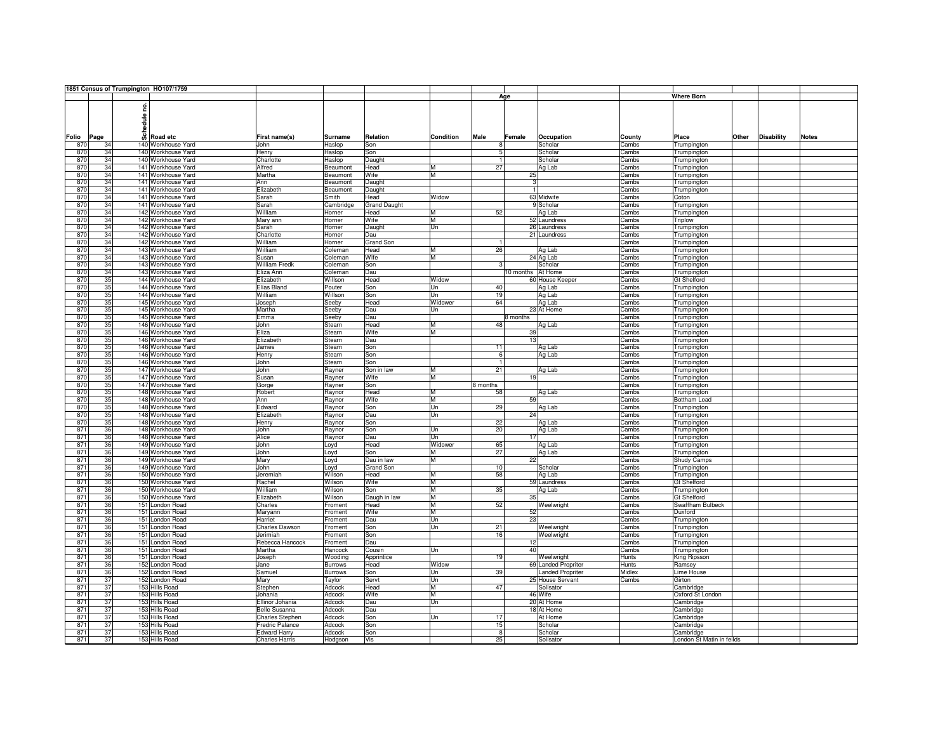|            |          | 1851 Census of Trumpington HO107/1759 |                       |                |                     |                  |               |                         |        |                           |       |                   |              |
|------------|----------|---------------------------------------|-----------------------|----------------|---------------------|------------------|---------------|-------------------------|--------|---------------------------|-------|-------------------|--------------|
|            |          |                                       |                       |                |                     |                  |               | Age                     |        | <b>Where Born</b>         |       |                   |              |
|            |          |                                       |                       |                |                     |                  |               |                         |        |                           |       |                   |              |
|            |          | g                                     |                       |                |                     |                  |               |                         |        |                           |       |                   |              |
|            |          |                                       |                       |                |                     |                  |               |                         |        |                           |       |                   |              |
|            |          | edule <sub>1</sub>                    |                       |                |                     |                  |               |                         |        |                           |       |                   |              |
|            |          |                                       |                       |                |                     |                  |               |                         |        |                           |       |                   |              |
| Folio      | Page     | ន៏<br>Road etc                        | First name(s)         | <b>Surname</b> | Relation            | <b>Condition</b> | Male          | Female<br>Occupation    | County | Place                     | Other | <b>Disability</b> | <b>Notes</b> |
| 870        | 34       | 140 Workhouse Yard                    | John                  | Haslop         | Son                 |                  | 8             | Scholar                 | Cambs  | Trumpington               |       |                   |              |
| 870        | 34       | 140 Workhouse Yard                    | Henry                 | Haslop         | Son                 |                  | 5             | Scholar                 | Cambs  | Trumpington               |       |                   |              |
| 870        | 34       | 140 Workhouse Yard                    | Charlotte             | Haslop         | Daught              |                  | T             | Scholar                 | Cambs  | Trumpington               |       |                   |              |
| 870        | 34       | 141 Workhouse Yard                    | Alfred                | Beaumont       | Head                | M                | 27            | Ag Lab                  | Cambs  | Trumpington               |       |                   |              |
| 870        | 34       | 141 Workhouse Yard                    | Martha                | Beaumont       | Wife                | M                |               | 25                      | Cambs  | Trumpington               |       |                   |              |
| 870        | 34       | 141 Workhouse Yard                    | Ann                   | Beaumont       | Daught              |                  |               | 3 <sup>l</sup>          | Cambs  | Trumpington               |       |                   |              |
| 870        | 34       | 141 Workhouse Yard                    | Elizabeth             | Beaumont       | Daught              |                  |               | 1                       | Cambs  | Trumpington               |       |                   |              |
| 870        | 34       | 141 Workhouse Yard                    | Sarah                 | Smith          | Head                | Widow            |               | 63 Midwife              | Cambs  | Coton                     |       |                   |              |
| 870        | 34       | 141 Workhouse Yard                    | Sarah                 | Cambridge      | <b>Grand Daught</b> |                  |               | 9 Scholar               | Cambs  | Trumpington               |       |                   |              |
| 870        | 34       | 142 Workhouse Yard                    | William               | Horner         | Head                | M                | 52            | Ag Lab                  | Cambs  | Trumpington               |       |                   |              |
| 870        | 34       | 142 Workhouse Yard                    | Mary ann              | Horner         | Wife                | M                |               | 52 Laundress            | Cambs  | <b>Triplow</b>            |       |                   |              |
| 870        | 34       | 142 Workhouse Yard                    | Sarah                 | Horner         | Daught              | lUn              |               | 26 Laundress            | Cambs  | Trumpington               |       |                   |              |
| 870        | 34       | 142 Workhouse Yard                    | Charlotte             | Horner         | Dau                 |                  |               | 21 Laundress            | Cambs  |                           |       |                   |              |
|            |          |                                       |                       |                |                     |                  | $\mathbf{1}$  |                         |        | Trumpington               |       |                   |              |
| 870        | 34       | 142 Workhouse Yard                    | William               | Horner         | Grand Son           |                  |               |                         | Cambs  | Trumpington               |       |                   |              |
| 870        | 34       | 143 Workhouse Yard                    | William               | Coleman        | Head                | M                | 26            | Ag Lab                  | Cambs  | Trumpington               |       |                   |              |
| 870        | 34       | 143 Workhouse Yard                    | Susan                 | Coleman        | Wife                | M                |               | 24 Ag Lab               | Cambs  | Trumpington               |       |                   |              |
| 870        | 34       | 143 Workhouse Yard                    | <b>William Fredk</b>  | Coleman        | Son                 |                  | $\mathcal{R}$ | Scholar                 | Cambs  | Trumpington               |       |                   |              |
| 870        | 34       | 143 Workhouse Yard                    | Eliza Ann             | Coleman        | Dau                 |                  |               | 10 months At Home       | Cambs  | Trumpington               |       |                   |              |
| 870        | 35       | 144 Workhouse Yard                    | Elizabeth             | Willson        | Head                | Widow            |               | 60 House Keeper         | Cambs  | <b>Gt Shelford</b>        |       |                   |              |
| 870        | 35       | 144 Workhouse Yard                    | Elias Bland           | Pouter         | Son                 | Un               | 40            | Ag Lab                  | Cambs  | Trumpington               |       |                   |              |
| 870        | 35       | 144 Workhouse Yard                    | William               | Willson        | Son                 | Un               | 19            | Ag Lab                  | Cambs  | Trumpington               |       |                   |              |
| 870        | 35       | 145 Workhouse Yard                    | Joseph                | Seeby          | Head                | Widower          | 64            | Ag Lab                  | Cambs  | Trumpington               |       |                   |              |
| 870        | 35       | 145 Workhouse Yard                    | Martha                | Seeby          | Dau                 | Un               |               | 23 At Home              | Cambs  | Trumpington               |       |                   |              |
| 870        | 35       | 145 Workhouse Yard                    | Emma                  | Seeby          | Dau                 |                  |               | 8 months                | Cambs  | Trumpington               |       |                   |              |
| 870        | 35       | 146 Workhouse Yard                    | John                  | Stearn         | Head                | M                | 48            | Ag Lab                  | Cambs  | Trumpington               |       |                   |              |
| 870        | 35       | 146 Workhouse Yard                    | Eliza                 | Stearn         | Wife                | M                |               | 39                      | Cambs  | Trumpington               |       |                   |              |
| 870        | 35       | 146 Workhouse Yard                    | Elizabeth             | Stearn         | Dau                 |                  |               | 13                      | Cambs  | Trumpington               |       |                   |              |
| 870        | 35       | 146 Workhouse Yard                    | James                 | Stearn         | Son                 |                  | 11            | Ag Lab                  | Cambs  | Trumpington               |       |                   |              |
| 870        | 35       | 146 Workhouse Yard                    | Henry                 | Stearn         | Son                 |                  | 6             | Ag Lab                  | Cambs  | Trumpington               |       |                   |              |
| 870        | 35       | 146 Workhouse Yard                    | John                  | Stearn         | Son                 |                  | -11           |                         | Cambs  | Trumpington               |       |                   |              |
| 870        | 35       | 147 Workhouse Yard                    | John                  | Rayner         | Son in law          | M                | 21            | Ag Lab                  | Cambs  | Trumpington               |       |                   |              |
| 870        | 35       | 147 Workhouse Yard                    | Susan                 | Rayner         | Wife                | M                |               | 19                      | Cambs  | Trumpington               |       |                   |              |
| 870        | 35       | 147 Workhouse Yard                    | Gorge                 |                | Son                 |                  | 8 months      |                         | Cambs  | Trumpington               |       |                   |              |
| 870        | 35       | 148 Workhouse Yard                    |                       | Rayner         |                     | M                | 58            | Ag Lab                  |        |                           |       |                   |              |
| 870        | 35       | 148 Workhouse Yard                    | Robert<br>Ann         | Raynor         | Head<br>Wife        | ĪМ               |               | 59                      | Cambs  | Trumpington               |       |                   |              |
|            |          |                                       |                       | Raynor         |                     | Un               | 29            |                         | Cambs  | Bottham Load              |       |                   |              |
| 870<br>870 | 35<br>35 | 148 Workhouse Yard                    | Edward                | Raynor         | Son                 | Un               |               | Ag Lab<br>24            | Cambs  | Trumpington               |       |                   |              |
|            |          | 148 Workhouse Yard                    | Elizabeth             | Raynor         | Dau                 |                  |               |                         | Cambs  | Trumpington               |       |                   |              |
| 870        | 35       | 148 Workhouse Yard                    | Henry                 | Raynor         | Son                 |                  | 22            | Ag Lab                  | Cambs  | Trumpington               |       |                   |              |
| 871        | 36       | 148 Workhouse Yard                    | John                  | Raynor         | Son                 | Un               | 20            | Ag Lab                  | Cambs  | Trumpington               |       |                   |              |
| 871        | 36       | 148 Workhouse Yard                    | Alice                 | Raynor         | Dau                 | <b>Un</b>        |               | 17                      | Cambs  | Trumpington               |       |                   |              |
| 871        | 36       | 149 Workhouse Yard                    | John                  | Loyd           | Head                | Widower          | 65            | Ag Lab                  | Cambs  | Trumpington               |       |                   |              |
| 871        | 36       | 149 Workhouse Yard                    | John                  | Loyd           | Son                 | M                | 27            | Ag Lab                  | Cambs  | Trumpington               |       |                   |              |
| 871        | 36       | 149 Workhouse Yard                    | Mary                  | Loyd           | Dau in law          | M                |               | 22                      | Cambs  | Shudy Camps               |       |                   |              |
| 871        | 36       | 149 Workhouse Yard                    | John                  | Loyd           | <b>Grand Son</b>    |                  | 10            | Scholar                 | Cambs  | Trumpington               |       |                   |              |
| 871        | 36       | 150 Workhouse Yard                    | Jeremiah              | Wilson         | Head                | M                | 58            | Ag Lab                  | Cambs  | Trumpington               |       |                   |              |
| 871        | 36       | 150 Workhouse Yard                    | Rachel                | Wilson         | Wife                | M                |               | 59 Laundress            | Cambs  | <b>Gt Shelford</b>        |       |                   |              |
| 871        | 36       | 150 Workhouse Yard                    | William               | Wilson         | Son                 | M                | 35            | Ag Lab                  | Cambs  | Trumpington               |       |                   |              |
| 871        | 36       | 150 Workhouse Yard                    | Elizabeth             | Wilson         | Daugh in law        | M                |               | 35                      | Cambs  | <b>Gt Shelford</b>        |       |                   |              |
| 871        | 36       | 151 London Road                       | Charles               | Froment        | Head                | M                | 52            | Weelwright              | Cambs  | Swaffham Bulbeck          |       |                   |              |
| 871        | 36       | 151 London Road                       | Maryann               | Froment        | Wife                | M                |               | 52                      | Cambs  | Duxford                   |       |                   |              |
| 871        | 36       | 151 London Road                       | Harriet               | Froment        | Dau                 | Un               |               | 23                      | Cambs  | Trumpington               |       |                   |              |
| 871        | 36       | 151 London Road                       | Charles Dawson        | Froment        | Son                 | Un               | 21            | Weelwright              | Cambs  | Trumpington               |       |                   |              |
| 871        | 36       | 151 London Road                       | Jerimiah              | Froment        | Son                 |                  | 16            | Weelwright              | Cambs  | Trumpington               |       |                   |              |
| 871        | 36       | 151 London Road                       | Rebecca Hancock       | Froment        | Dau                 |                  |               | 12                      | Cambs  | Trumpington               |       |                   |              |
| 871        | 36       | 151 London Road                       | Martha                | Hancock        | Cousin              | Un               |               | 40                      | Cambs  | Trumpington               |       |                   |              |
| 871        | 36       | 151 London Road                       | Joseph                | Wooding        | Apprintice          |                  | 19            | Weelwright              | Hunts  | King Ripsson              |       |                   |              |
| 871        | 36       | 152 London Road                       | Jane                  | <b>Burrows</b> | Head                | Widow            |               | 69 Landed Propriter     | Hunts  | Ramsey                    |       |                   |              |
| 871        | 36       |                                       |                       |                |                     |                  | 39            | <b>Landed Propriter</b> | Midlex |                           |       |                   |              |
|            | 37       | 152 London Road                       | Samuel                | <b>Burrows</b> | Son                 | Un               |               |                         |        | Lime House                |       |                   |              |
| 871        |          | 152 London Road                       | Mary                  | Taylor         | Servt               | Un               | 47            | 25 House Servant        | Cambs  | Girton                    |       |                   |              |
| 871        | 37       | 153 Hills Road                        | Stephen               | Adcock         | Head                | IM.              |               | Solisator               |        | Cambridge                 |       |                   |              |
| 871        | 37       | 153 Hills Road                        | Johania               | Adcock         | Wife                | M                |               | 46 Wife                 |        | Oxford St London          |       |                   |              |
| 871        | 37       | 153 Hills Road                        | Ellinor Johania       | Adcock         | Dau                 | Un               |               | 20 At Home              |        | Cambridge                 |       |                   |              |
| 871        | 37       | 153 Hills Road                        | <b>Belle Susanna</b>  | Adcock         | Dau                 |                  |               | 18 At Home              |        | Cambridge                 |       |                   |              |
| 871        | 37       | 153 Hills Road                        | Charles Stephen       | Adcock         | Son                 | Un               | 17            | At Home                 |        | Cambridge                 |       |                   |              |
| 871        | 37       | 153 Hills Road                        | Fredric Palance       | Adcock         | Son                 |                  | 15            | Scholar                 |        | Cambridge                 |       |                   |              |
| 871        | 37       | 153 Hills Road                        | <b>Edward Harry</b>   | Adcock         | Son                 |                  | 8             | Scholar                 |        | Cambridge                 |       |                   |              |
| 871        | 37       | 153 Hills Road                        | <b>Charles Harris</b> | Hodgson        | Vis                 |                  | 25            | Solisator               |        | London St Matin in feilds |       |                   |              |